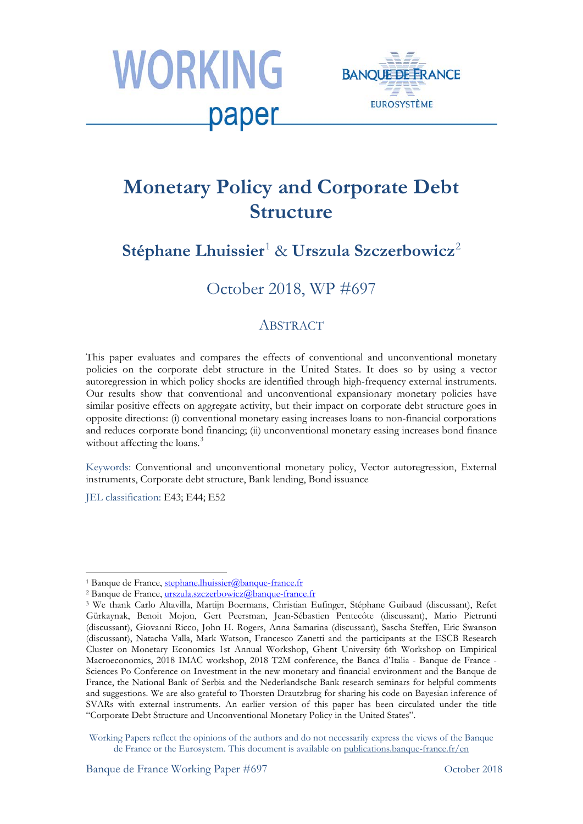



# **Monetary Policy and Corporate Debt Structure**

# **Stéphane Lhuissier**[1](#page-0-0) & **Urszula Szczerbowicz**[2](#page-0-1)

## October 2018, WP #697

#### **ABSTRACT**

This paper evaluates and compares the effects of conventional and unconventional monetary policies on the corporate debt structure in the United States. It does so by using a vector autoregression in which policy shocks are identified through high-frequency external instruments. Our results show that conventional and unconventional expansionary monetary policies have similar positive effects on aggregate activity, but their impact on corporate debt structure goes in opposite directions: (i) conventional monetary easing increases loans to non-financial corporations and reduces corporate bond financing; (ii) unconventional monetary easing increases bond finance without affecting the loans.<sup>[3](#page-0-2)</sup>

Keywords: Conventional and unconventional monetary policy, Vector autoregression, External instruments, Corporate debt structure, Bank lending, Bond issuance

JEL classification: E43; E44; E52

 $\overline{\phantom{a}}$ 

Banque de France Working Paper #697 October 2018

<span id="page-0-0"></span><sup>&</sup>lt;sup>1</sup> Banque de France, stephane.lhuissier@banque-france.fr<br><sup>2</sup> Banque de France, [urszula.szczerbowicz@banque-france.fr](mailto:urszula.szczerbowicz@banque-france.fr)

<span id="page-0-2"></span><span id="page-0-1"></span><sup>3</sup> We thank Carlo Altavilla, Martijn Boermans, Christian Eufinger, Stéphane Guibaud (discussant), Refet Gürkaynak, Benoit Mojon, Gert Peersman, Jean-Sébastien Pentecôte (discussant), Mario Pietrunti (discussant), Giovanni Ricco, John H. Rogers, Anna Samarina (discussant), Sascha Steffen, Eric Swanson (discussant), Natacha Valla, Mark Watson, Francesco Zanetti and the participants at the ESCB Research Cluster on Monetary Economics 1st Annual Workshop, Ghent University 6th Workshop on Empirical Macroeconomics, 2018 IMAC workshop, 2018 T2M conference, the Banca d'Italia - Banque de France - Sciences Po Conference on Investment in the new monetary and financial environment and the Banque de France, the National Bank of Serbia and the Nederlandsche Bank research seminars for helpful comments and suggestions. We are also grateful to Thorsten Drautzbrug for sharing his code on Bayesian inference of SVARs with external instruments. An earlier version of this paper has been circulated under the title "Corporate Debt Structure and Unconventional Monetary Policy in the United States".

Working Papers reflect the opinions of the authors and do not necessarily express the views of the Banque de France or the Eurosystem. This document is available on [publications.banque-france.fr/en](https://publications.banque-france.fr/en)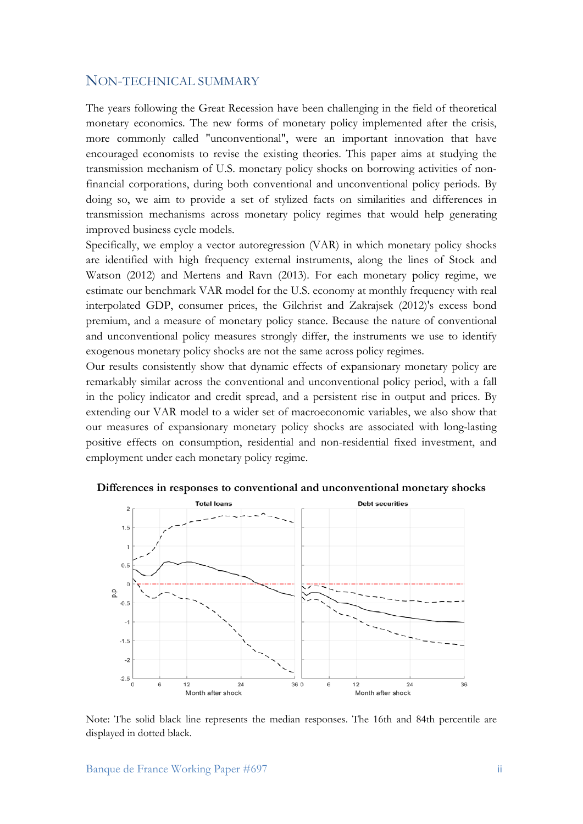#### NON-TECHNICAL SUMMARY

The years following the Great Recession have been challenging in the field of theoretical monetary economics. The new forms of monetary policy implemented after the crisis, more commonly called "unconventional", were an important innovation that have encouraged economists to revise the existing theories. This paper aims at studying the transmission mechanism of U.S. monetary policy shocks on borrowing activities of nonfinancial corporations, during both conventional and unconventional policy periods. By doing so, we aim to provide a set of stylized facts on similarities and differences in transmission mechanisms across monetary policy regimes that would help generating improved business cycle models.

Specifically, we employ a vector autoregression (VAR) in which monetary policy shocks are identified with high frequency external instruments, along the lines of Stock and Watson (2012) and Mertens and Ravn (2013). For each monetary policy regime, we estimate our benchmark VAR model for the U.S. economy at monthly frequency with real interpolated GDP, consumer prices, the Gilchrist and Zakrajsek (2012)'s excess bond premium, and a measure of monetary policy stance. Because the nature of conventional and unconventional policy measures strongly differ, the instruments we use to identify exogenous monetary policy shocks are not the same across policy regimes.

Our results consistently show that dynamic effects of expansionary monetary policy are remarkably similar across the conventional and unconventional policy period, with a fall in the policy indicator and credit spread, and a persistent rise in output and prices. By extending our VAR model to a wider set of macroeconomic variables, we also show that our measures of expansionary monetary policy shocks are associated with long-lasting positive effects on consumption, residential and non-residential fixed investment, and employment under each monetary policy regime.



**Differences in responses to conventional and unconventional monetary shocks**

Note: The solid black line represents the median responses. The 16th and 84th percentile are displayed in dotted black.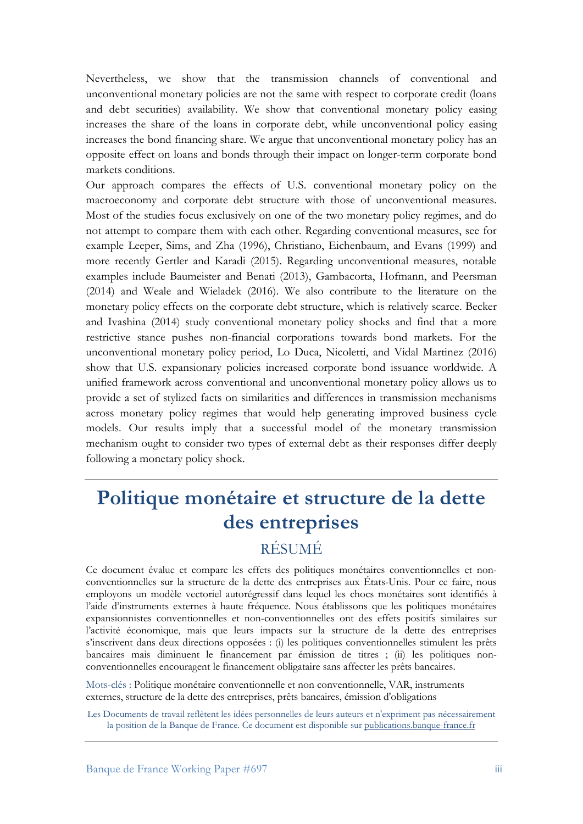Nevertheless, we show that the transmission channels of conventional and unconventional monetary policies are not the same with respect to corporate credit (loans and debt securities) availability. We show that conventional monetary policy easing increases the share of the loans in corporate debt, while unconventional policy easing increases the bond financing share. We argue that unconventional monetary policy has an opposite effect on loans and bonds through their impact on longer-term corporate bond markets conditions.

Our approach compares the effects of U.S. conventional monetary policy on the macroeconomy and corporate debt structure with those of unconventional measures. Most of the studies focus exclusively on one of the two monetary policy regimes, and do not attempt to compare them with each other. Regarding conventional measures, see for example Leeper, Sims, and Zha (1996), Christiano, Eichenbaum, and Evans (1999) and more recently Gertler and Karadi (2015). Regarding unconventional measures, notable examples include Baumeister and Benati (2013), Gambacorta, Hofmann, and Peersman (2014) and Weale and Wieladek (2016). We also contribute to the literature on the monetary policy effects on the corporate debt structure, which is relatively scarce. Becker and Ivashina (2014) study conventional monetary policy shocks and find that a more restrictive stance pushes non-financial corporations towards bond markets. For the unconventional monetary policy period, Lo Duca, Nicoletti, and Vidal Martinez (2016) show that U.S. expansionary policies increased corporate bond issuance worldwide. A unified framework across conventional and unconventional monetary policy allows us to provide a set of stylized facts on similarities and differences in transmission mechanisms across monetary policy regimes that would help generating improved business cycle models. Our results imply that a successful model of the monetary transmission mechanism ought to consider two types of external debt as their responses differ deeply following a monetary policy shock.

# **Politique monétaire et structure de la dette des entreprises**

# RÉSUMÉ

Ce document évalue et compare les effets des politiques monétaires conventionnelles et nonconventionnelles sur la structure de la dette des entreprises aux États-Unis. Pour ce faire, nous employons un modèle vectoriel autorégressif dans lequel les chocs monétaires sont identifiés à l'aide d'instruments externes à haute fréquence. Nous établissons que les politiques monétaires expansionnistes conventionnelles et non-conventionnelles ont des effets positifs similaires sur l'activité économique, mais que leurs impacts sur la structure de la dette des entreprises s'inscrivent dans deux directions opposées : (i) les politiques conventionnelles stimulent les prêts bancaires mais diminuent le financement par émission de titres ; (ii) les politiques nonconventionnelles encouragent le financement obligataire sans affecter les prêts bancaires.

Mots-clés : Politique monétaire conventionnelle et non conventionnelle, VAR, instruments externes, structure de la dette des entreprises, prêts bancaires, émission d'obligations

Les Documents de travail reflètent les idées personnelles de leurs auteurs et n'expriment pas nécessairement la position de la Banque de France. Ce document est disponible sur [publications.banque-france.fr](https://publications.banque-france.fr/)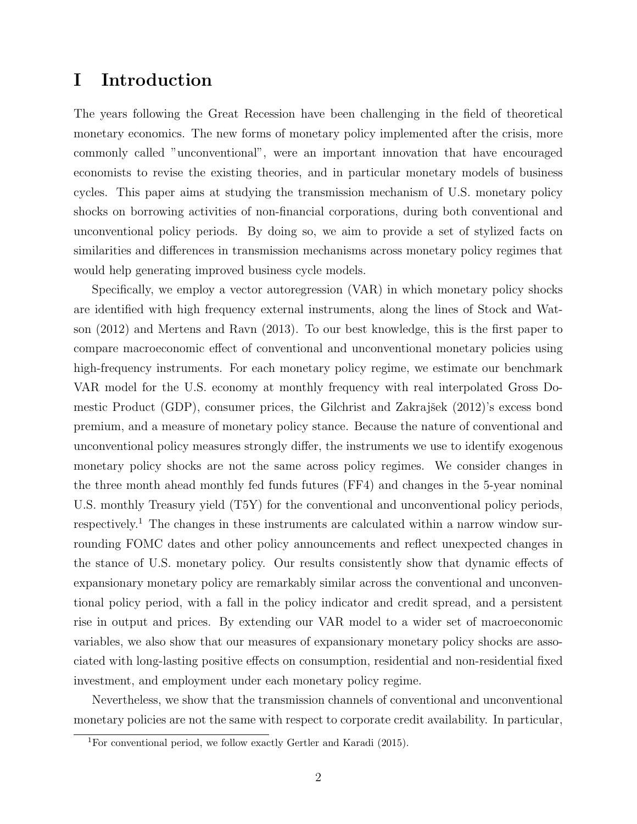## I Introduction

The years following the Great Recession have been challenging in the field of theoretical monetary economics. The new forms of monetary policy implemented after the crisis, more commonly called "unconventional", were an important innovation that have encouraged economists to revise the existing theories, and in particular monetary models of business cycles. This paper aims at studying the transmission mechanism of U.S. monetary policy shocks on borrowing activities of non-financial corporations, during both conventional and unconventional policy periods. By doing so, we aim to provide a set of stylized facts on similarities and differences in transmission mechanisms across monetary policy regimes that would help generating improved business cycle models.

Specifically, we employ a vector autoregression (VAR) in which monetary policy shocks are identified with high frequency external instruments, along the lines of [Stock and Wat](#page-22-0)[son](#page-22-0) [\(2012\)](#page-22-0) and [Mertens and Ravn](#page-22-1) [\(2013\)](#page-22-1). To our best knowledge, this is the first paper to compare macroeconomic effect of conventional and unconventional monetary policies using high-frequency instruments. For each monetary policy regime, we estimate our benchmark VAR model for the U.S. economy at monthly frequency with real interpolated Gross Do-mestic Product (GDP), consumer prices, the Gilchrist and Zakrajšek [\(2012\)](#page-21-0)'s excess bond premium, and a measure of monetary policy stance. Because the nature of conventional and unconventional policy measures strongly differ, the instruments we use to identify exogenous monetary policy shocks are not the same across policy regimes. We consider changes in the three month ahead monthly fed funds futures (FF4) and changes in the 5-year nominal U.S. monthly Treasury yield (T5Y) for the conventional and unconventional policy periods, respectively.<sup>[1](#page-3-0)</sup> The changes in these instruments are calculated within a narrow window surrounding FOMC dates and other policy announcements and reflect unexpected changes in the stance of U.S. monetary policy. Our results consistently show that dynamic effects of expansionary monetary policy are remarkably similar across the conventional and unconventional policy period, with a fall in the policy indicator and credit spread, and a persistent rise in output and prices. By extending our VAR model to a wider set of macroeconomic variables, we also show that our measures of expansionary monetary policy shocks are associated with long-lasting positive effects on consumption, residential and non-residential fixed investment, and employment under each monetary policy regime.

Nevertheless, we show that the transmission channels of conventional and unconventional monetary policies are not the same with respect to corporate credit availability. In particular,

<span id="page-3-0"></span><sup>1</sup>For conventional period, we follow exactly [Gertler and Karadi](#page-21-1) [\(2015\)](#page-21-1).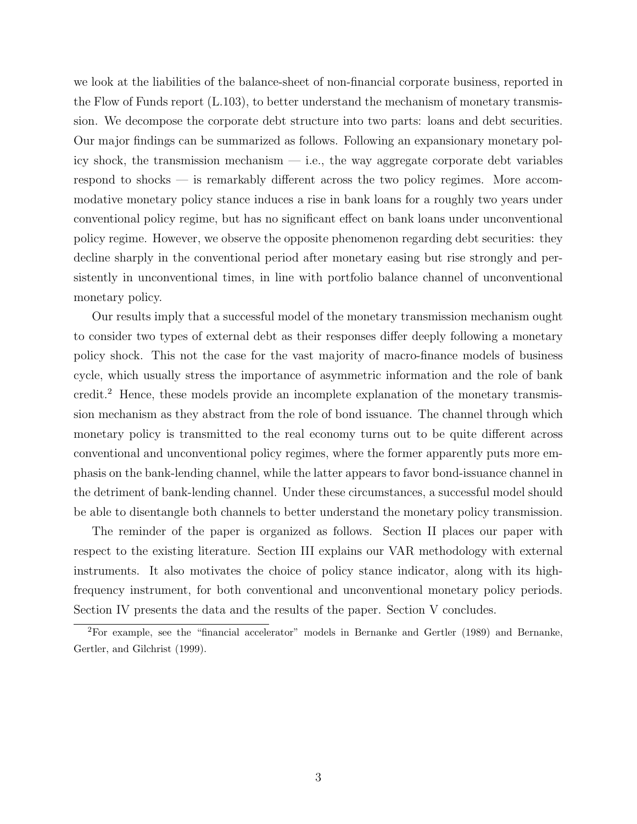we look at the liabilities of the balance-sheet of non-financial corporate business, reported in the Flow of Funds report (L.103), to better understand the mechanism of monetary transmission. We decompose the corporate debt structure into two parts: loans and debt securities. Our major findings can be summarized as follows. Following an expansionary monetary policy shock, the transmission mechanism — i.e., the way aggregate corporate debt variables respond to shocks — is remarkably different across the two policy regimes. More accommodative monetary policy stance induces a rise in bank loans for a roughly two years under conventional policy regime, but has no significant effect on bank loans under unconventional policy regime. However, we observe the opposite phenomenon regarding debt securities: they decline sharply in the conventional period after monetary easing but rise strongly and persistently in unconventional times, in line with portfolio balance channel of unconventional monetary policy.

Our results imply that a successful model of the monetary transmission mechanism ought to consider two types of external debt as their responses differ deeply following a monetary policy shock. This not the case for the vast majority of macro-finance models of business cycle, which usually stress the importance of asymmetric information and the role of bank credit.[2](#page-4-0) Hence, these models provide an incomplete explanation of the monetary transmission mechanism as they abstract from the role of bond issuance. The channel through which monetary policy is transmitted to the real economy turns out to be quite different across conventional and unconventional policy regimes, where the former apparently puts more emphasis on the bank-lending channel, while the latter appears to favor bond-issuance channel in the detriment of bank-lending channel. Under these circumstances, a successful model should be able to disentangle both channels to better understand the monetary policy transmission.

The reminder of the paper is organized as follows. Section [II](#page-5-0) places our paper with respect to the existing literature. Section [III](#page-6-0) explains our VAR methodology with external instruments. It also motivates the choice of policy stance indicator, along with its highfrequency instrument, for both conventional and unconventional monetary policy periods. Section [IV](#page-10-0) presents the data and the results of the paper. Section [V](#page-17-0) concludes.

<span id="page-4-0"></span><sup>&</sup>lt;sup>2</sup>For example, see the "financial accelerator" models in [Bernanke and Gertler](#page-19-0) [\(1989\)](#page-19-0) and [Bernanke,](#page-19-1) [Gertler, and Gilchrist](#page-19-1) [\(1999\)](#page-19-1).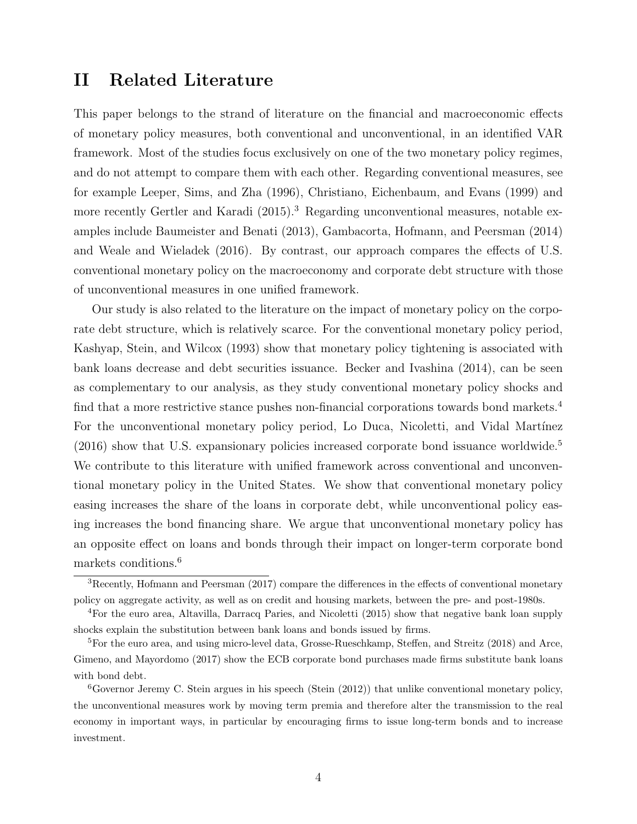## <span id="page-5-0"></span>II Related Literature

This paper belongs to the strand of literature on the financial and macroeconomic effects of monetary policy measures, both conventional and unconventional, in an identified VAR framework. Most of the studies focus exclusively on one of the two monetary policy regimes, and do not attempt to compare them with each other. Regarding conventional measures, see for example [Leeper, Sims, and Zha](#page-22-2) [\(1996\)](#page-22-2), [Christiano, Eichenbaum, and Evans](#page-20-0) [\(1999\)](#page-20-0) and more recently [Gertler and Karadi](#page-21-1) [\(2015\)](#page-21-1).<sup>[3](#page-5-1)</sup> Regarding unconventional measures, notable examples include [Baumeister and Benati](#page-19-2) [\(2013\)](#page-19-2), [Gambacorta, Hofmann, and Peersman](#page-21-2) [\(2014\)](#page-21-2) and [Weale and Wieladek](#page-23-0) [\(2016\)](#page-23-0). By contrast, our approach compares the effects of U.S. conventional monetary policy on the macroeconomy and corporate debt structure with those of unconventional measures in one unified framework.

Our study is also related to the literature on the impact of monetary policy on the corporate debt structure, which is relatively scarce. For the conventional monetary policy period, [Kashyap, Stein, and Wilcox](#page-22-3) [\(1993\)](#page-22-3) show that monetary policy tightening is associated with bank loans decrease and debt securities issuance. [Becker and Ivashina](#page-19-3) [\(2014\)](#page-19-3), can be seen as complementary to our analysis, as they study conventional monetary policy shocks and find that a more restrictive stance pushes non-financial corporations towards bond markets.<sup>[4](#page-5-2)</sup> For the unconventional monetary policy period, Lo Duca, Nicoletti, and Vidal Martínez  $(2016)$  show that U.S. expansionary policies increased corporate bond issuance worldwide.<sup>[5](#page-5-3)</sup> We contribute to this literature with unified framework across conventional and unconventional monetary policy in the United States. We show that conventional monetary policy easing increases the share of the loans in corporate debt, while unconventional policy easing increases the bond financing share. We argue that unconventional monetary policy has an opposite effect on loans and bonds through their impact on longer-term corporate bond markets conditions.[6](#page-5-4)

<span id="page-5-1"></span><sup>3</sup>Recently, [Hofmann and Peersman](#page-21-3) [\(2017\)](#page-21-3) compare the differences in the effects of conventional monetary policy on aggregate activity, as well as on credit and housing markets, between the pre- and post-1980s.

<span id="page-5-2"></span><sup>4</sup>For the euro area, [Altavilla, Darracq Paries, and Nicoletti](#page-19-4) [\(2015\)](#page-19-4) show that negative bank loan supply shocks explain the substitution between bank loans and bonds issued by firms.

<span id="page-5-3"></span><sup>5</sup>For the euro area, and using micro-level data, [Grosse-Rueschkamp, Steffen, and Streitz](#page-21-4) [\(2018\)](#page-21-4) and [Arce,](#page-19-5) [Gimeno, and Mayordomo](#page-19-5) [\(2017\)](#page-19-5) show the ECB corporate bond purchases made firms substitute bank loans with bond debt.

<span id="page-5-4"></span><sup>6</sup>Governor Jeremy C. Stein argues in his speech [\(Stein](#page-22-5) [\(2012\)](#page-22-5)) that unlike conventional monetary policy, the unconventional measures work by moving term premia and therefore alter the transmission to the real economy in important ways, in particular by encouraging firms to issue long-term bonds and to increase investment.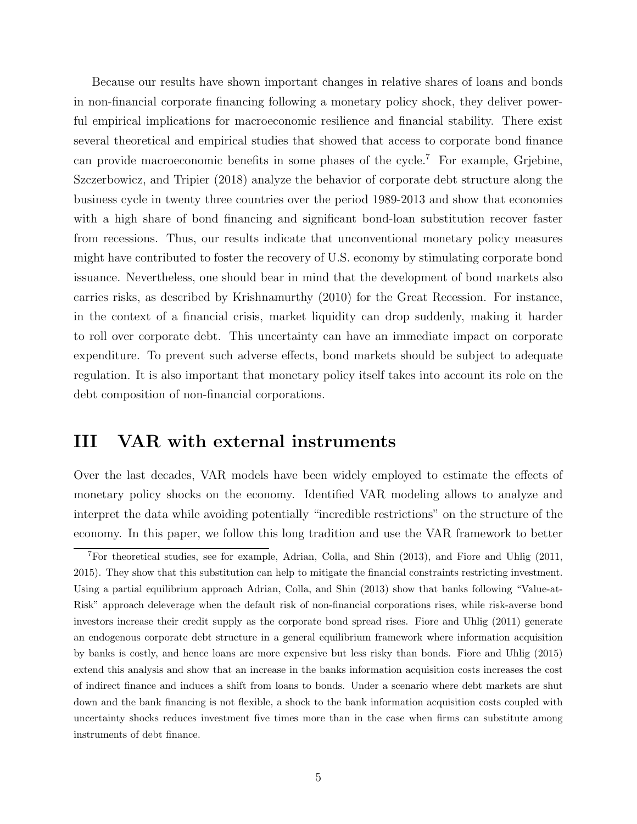Because our results have shown important changes in relative shares of loans and bonds in non-financial corporate financing following a monetary policy shock, they deliver powerful empirical implications for macroeconomic resilience and financial stability. There exist several theoretical and empirical studies that showed that access to corporate bond finance can provide macroeconomic benefits in some phases of the cycle.<sup>[7](#page-6-1)</sup> For example, [Grjebine,](#page-21-5) [Szczerbowicz, and Tripier](#page-21-5) [\(2018\)](#page-21-5) analyze the behavior of corporate debt structure along the business cycle in twenty three countries over the period 1989-2013 and show that economies with a high share of bond financing and significant bond-loan substitution recover faster from recessions. Thus, our results indicate that unconventional monetary policy measures might have contributed to foster the recovery of U.S. economy by stimulating corporate bond issuance. Nevertheless, one should bear in mind that the development of bond markets also carries risks, as described by [Krishnamurthy](#page-22-6) [\(2010\)](#page-22-6) for the Great Recession. For instance, in the context of a financial crisis, market liquidity can drop suddenly, making it harder to roll over corporate debt. This uncertainty can have an immediate impact on corporate expenditure. To prevent such adverse effects, bond markets should be subject to adequate regulation. It is also important that monetary policy itself takes into account its role on the debt composition of non-financial corporations.

## <span id="page-6-0"></span>III VAR with external instruments

Over the last decades, VAR models have been widely employed to estimate the effects of monetary policy shocks on the economy. Identified VAR modeling allows to analyze and interpret the data while avoiding potentially "incredible restrictions" on the structure of the economy. In this paper, we follow this long tradition and use the VAR framework to better

<span id="page-6-1"></span><sup>7</sup>For theoretical studies, see for example, [Adrian, Colla, and Shin](#page-19-6) [\(2013\)](#page-19-6), and [Fiore and Uhlig](#page-20-1) [\(2011,](#page-20-1) [2015\)](#page-20-2). They show that this substitution can help to mitigate the financial constraints restricting investment. Using a partial equilibrium approach [Adrian, Colla, and Shin](#page-19-6) [\(2013\)](#page-19-6) show that banks following "Value-at-Risk" approach deleverage when the default risk of non-financial corporations rises, while risk-averse bond investors increase their credit supply as the corporate bond spread rises. [Fiore and Uhlig](#page-20-1) [\(2011\)](#page-20-1) generate an endogenous corporate debt structure in a general equilibrium framework where information acquisition by banks is costly, and hence loans are more expensive but less risky than bonds. [Fiore and Uhlig](#page-20-2) [\(2015\)](#page-20-2) extend this analysis and show that an increase in the banks information acquisition costs increases the cost of indirect finance and induces a shift from loans to bonds. Under a scenario where debt markets are shut down and the bank financing is not flexible, a shock to the bank information acquisition costs coupled with uncertainty shocks reduces investment five times more than in the case when firms can substitute among instruments of debt finance.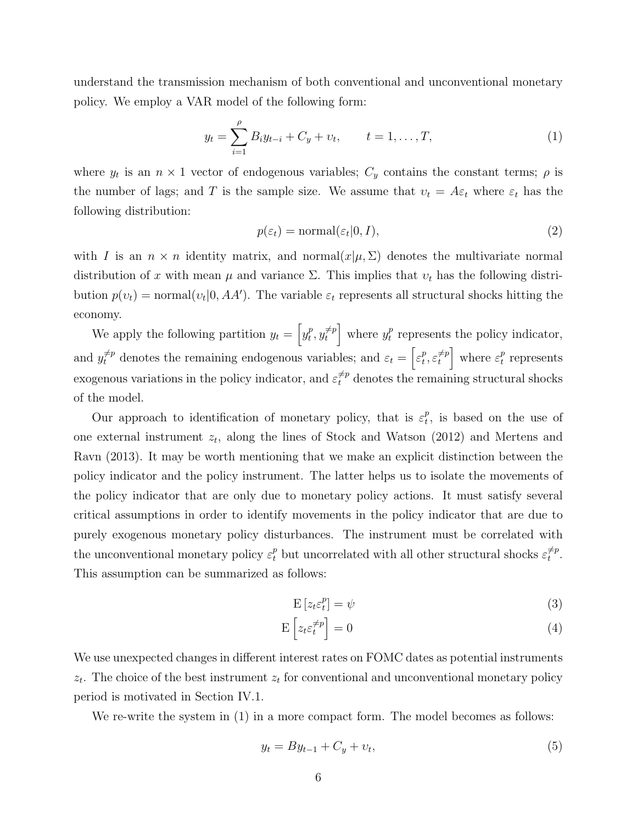understand the transmission mechanism of both conventional and unconventional monetary policy. We employ a VAR model of the following form:

<span id="page-7-0"></span>
$$
y_t = \sum_{i=1}^{\rho} B_i y_{t-i} + C_y + v_t, \qquad t = 1, \dots, T,
$$
 (1)

where  $y_t$  is an  $n \times 1$  vector of endogenous variables;  $C_y$  contains the constant terms;  $\rho$  is the number of lags; and T is the sample size. We assume that  $v_t = A\varepsilon_t$  where  $\varepsilon_t$  has the following distribution:

$$
p(\varepsilon_t) = \text{normal}(\varepsilon_t | 0, I), \tag{2}
$$

with I is an  $n \times n$  identity matrix, and normal $(x|\mu, \Sigma)$  denotes the multivariate normal distribution of x with mean  $\mu$  and variance  $\Sigma$ . This implies that  $v_t$  has the following distribution  $p(v_t) = \text{normal}(v_t | 0, AA')$ . The variable  $\varepsilon_t$  represents all structural shocks hitting the economy.

We apply the following partition  $y_t = \begin{bmatrix} y_t^p \end{bmatrix}$  $_t^p, y_t^{\neq p}$  $\left[\begin{array}{c} \neq p \\ t \end{array}\right]$  where  $y_t^p$  $_t^p$  represents the policy indicator, and  $y_t^{\neq p}$  denotes the remaining endogenous variables; and  $\varepsilon_t = \begin{bmatrix} \varepsilon_t^p \end{bmatrix}$  $_t^p, \varepsilon_t^{\neq p}$  $\left[\begin{array}{c} \neq p \\ t \end{array}\right]$  where  $\varepsilon_t^p$  $_t^p$  represents exogenous variations in the policy indicator, and  $\varepsilon_t^{\neq p}$  denotes the remaining structural shocks of the model.

Our approach to identification of monetary policy, that is  $\varepsilon_t^p$  $t<sub>t</sub><sup>p</sup>$ , is based on the use of one external instrument  $z_t$ , along the lines of [Stock and Watson](#page-22-0) [\(2012\)](#page-22-0) and [Mertens and](#page-22-1) [Ravn](#page-22-1) [\(2013\)](#page-22-1). It may be worth mentioning that we make an explicit distinction between the policy indicator and the policy instrument. The latter helps us to isolate the movements of the policy indicator that are only due to monetary policy actions. It must satisfy several critical assumptions in order to identify movements in the policy indicator that are due to purely exogenous monetary policy disturbances. The instrument must be correlated with the unconventional monetary policy  $\varepsilon_t^p$  but uncorrelated with all other structural shocks  $\varepsilon_t^{\neq p}$  $\substack{\neq p\\t}.$ This assumption can be summarized as follows:

<span id="page-7-2"></span><span id="page-7-1"></span>
$$
E\left[z_t \varepsilon_t^p\right] = \psi \tag{3}
$$

$$
\mathcal{E}\left[z_t \varepsilon_t^{\neq p}\right] = 0\tag{4}
$$

We use unexpected changes in different interest rates on FOMC dates as potential instruments  $z_t$ . The choice of the best instrument  $z_t$  for conventional and unconventional monetary policy period is motivated in Section [IV.1.](#page-10-1)

We re-write the system in  $(1)$  in a more compact form. The model becomes as follows:

<span id="page-7-3"></span>
$$
y_t = By_{t-1} + C_y + v_t,\tag{5}
$$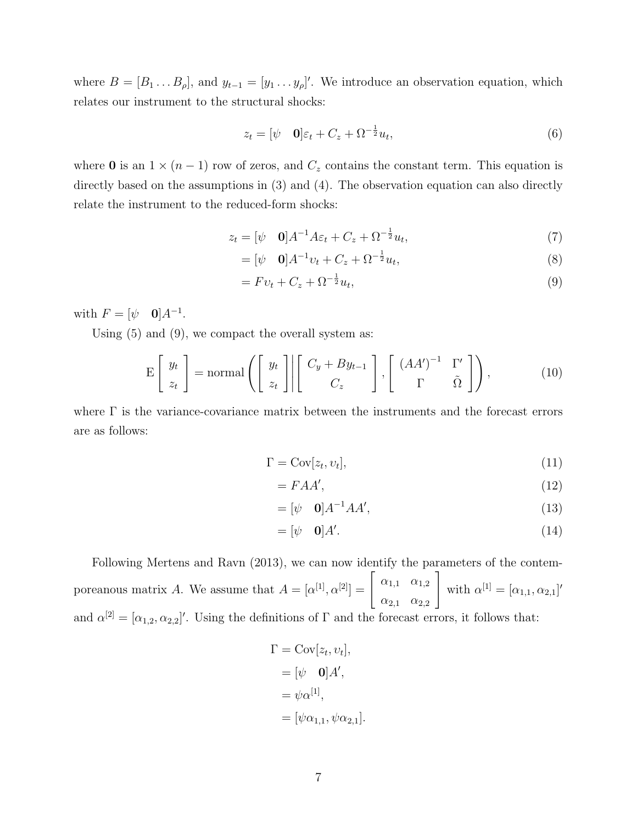where  $B = [B_1 \dots B_\rho],$  and  $y_{t-1} = [y_1 \dots y_\rho]'$ . We introduce an observation equation, which relates our instrument to the structural shocks:

$$
z_t = [\psi \quad \mathbf{0}] \varepsilon_t + C_z + \Omega^{-\frac{1}{2}} u_t,\tag{6}
$$

where 0 is an  $1 \times (n-1)$  row of zeros, and  $C_z$  contains the constant term. This equation is directly based on the assumptions in  $(3)$  and  $(4)$ . The observation equation can also directly relate the instrument to the reduced-form shocks:

$$
z_t = [\psi \quad \mathbf{0}]A^{-1}A\varepsilon_t + C_z + \Omega^{-\frac{1}{2}}u_t,\tag{7}
$$

<span id="page-8-0"></span>
$$
= [\psi \quad \mathbf{0}]A^{-1}v_t + C_z + \Omega^{-\frac{1}{2}}u_t,
$$
\n(8)

$$
= Fv_t + C_z + \Omega^{-\frac{1}{2}}u_t,\tag{9}
$$

with  $F = [\psi \quad \mathbf{0}]A^{-1}$ .

Using [\(5\)](#page-7-3) and [\(9\)](#page-8-0), we compact the overall system as:

$$
E\left[\begin{array}{c} y_t \\ z_t \end{array}\right] = normal\left(\left[\begin{array}{c} y_t \\ z_t \end{array}\right] \middle| \left[\begin{array}{cc} C_y + By_{t-1} \\ C_z \end{array}\right], \left[\begin{array}{cc} (AA')^{-1} & \Gamma' \\ \Gamma & \tilde{\Omega} \end{array}\right]\right),\tag{10}
$$

where  $\Gamma$  is the variance-covariance matrix between the instruments and the forecast errors are as follows:

$$
\Gamma = \text{Cov}[z_t, v_t],\tag{11}
$$

<span id="page-8-1"></span>
$$
=FAA',\tag{12}
$$

$$
= [\psi \quad \mathbf{0}]A^{-1}AA',\tag{13}
$$

$$
= [\psi \quad \mathbf{0}]A'. \tag{14}
$$

Following [Mertens and Ravn](#page-22-1) [\(2013\)](#page-22-1), we can now identify the parameters of the contemporeanous matrix A. We assume that  $A = [\alpha^{[1]}, \alpha^{[2]}] = \begin{bmatrix} \alpha_{1,1} & \alpha_{1,2} \\ \alpha_{2,1} & \alpha_{2,2} \end{bmatrix}$  $\alpha_{2,1}$   $\alpha_{2,2}$ 1 with  $\alpha^{[1]} = [\alpha_{1,1}, \alpha_{2,1}]'$ and  $\alpha^{[2]} = [\alpha_{1,2}, \alpha_{2,2}]'$ . Using the definitions of  $\Gamma$  and the forecast errors, it follows that:

$$
\Gamma = \text{Cov}[z_t, v_t],
$$
  
=  $[\psi \quad \mathbf{0}]A',$   
=  $\psi \alpha^{[1]},$   
=  $[\psi \alpha_{1,1}, \psi \alpha_{2,1}].$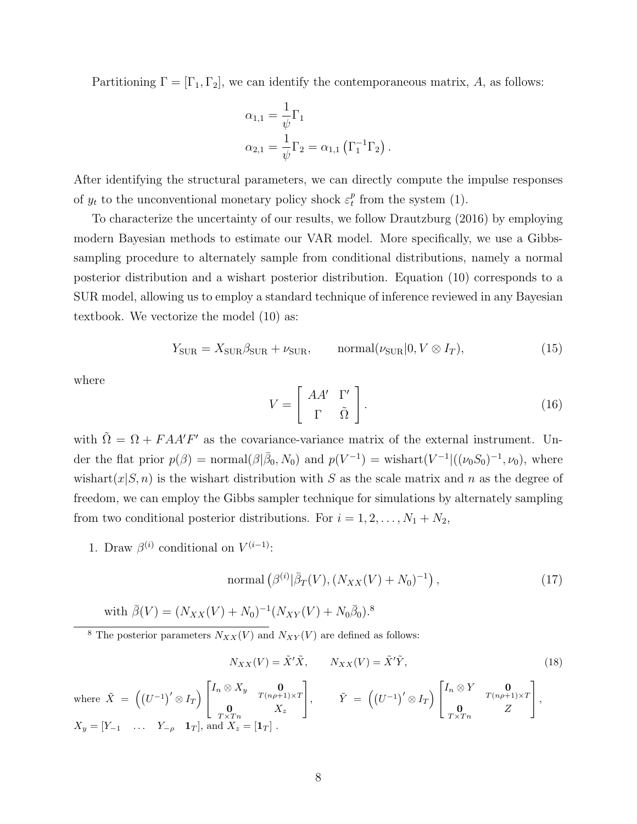Partitioning  $\Gamma = [\Gamma_1, \Gamma_2]$ , we can identify the contemporaneous matrix, A, as follows:

$$
\alpha_{1,1} = \frac{1}{\psi} \Gamma_1
$$
  

$$
\alpha_{2,1} = \frac{1}{\psi} \Gamma_2 = \alpha_{1,1} (\Gamma_1^{-1} \Gamma_2)
$$

After identifying the structural parameters, we can directly compute the impulse responses of  $y_t$  to the unconventional monetary policy shock  $\varepsilon_t^p$  $t$ <sup>*t*</sup> from the system [\(1\)](#page-7-0).

To characterize the uncertainty of our results, we follow [Drautzburg](#page-20-3) [\(2016\)](#page-20-3) by employing modern Bayesian methods to estimate our VAR model. More specifically, we use a Gibbssampling procedure to alternately sample from conditional distributions, namely a normal posterior distribution and a wishart posterior distribution. Equation [\(10\)](#page-8-1) corresponds to a SUR model, allowing us to employ a standard technique of inference reviewed in any Bayesian textbook. We vectorize the model [\(10\)](#page-8-1) as:

$$
Y_{\text{SUB}} = X_{\text{SUB}} \beta_{\text{SUB}} + \nu_{\text{SUB}}, \qquad \text{normal}(\nu_{\text{SUB}} | 0, V \otimes I_T), \tag{15}
$$

.

where

$$
V = \left[ \begin{array}{cc} AA' & \Gamma' \\ \Gamma & \tilde{\Omega} \end{array} \right].
$$
 (16)

with  $\tilde{\Omega} = \Omega + F A A' F'$  as the covariance-variance matrix of the external instrument. Under the flat prior  $p(\beta) = \text{normal}(\beta | \bar{\beta}_0, N_0)$  and  $p(V^{-1}) = \text{wishart}(V^{-1}|((\nu_0 S_0)^{-1}, \nu_0), \text{ where}$ wishart $(x|S, n)$  is the wishart distribution with S as the scale matrix and n as the degree of freedom, we can employ the Gibbs sampler technique for simulations by alternately sampling from two conditional posterior distributions. For  $i = 1, 2, ..., N_1 + N_2$ ,

1. Draw  $\beta^{(i)}$  conditional on  $V^{(i-1)}$ :

normal 
$$
\left(\beta^{(i)}\middle|\bar{\beta}_T(V),\left(N_{XX}(V)+N_0\right)^{-1}\right),
$$
 (17)

with 
$$
\bar{\beta}(V) = (N_{XX}(V) + N_0)^{-1}(N_{XY}(V) + N_0\bar{\beta}_0)^{8}
$$

<span id="page-9-0"></span><sup>8</sup> The posterior parameters  $N_{XX}(V)$  and  $N_{XY}(V)$  are defined as follows:

$$
N_{XX}(V) = \tilde{X}'\tilde{X}, \qquad N_{XX}(V) = \tilde{X}'\tilde{Y}, \qquad (18)
$$

where 
$$
\tilde{X} = ((U^{-1})' \otimes I_T) \begin{bmatrix} I_n \otimes X_y & \mathbf{0} \\ \mathbf{0} & T(n\rho+1) \times T \\ \mathbf{0} & X_z \end{bmatrix}
$$
,  $\tilde{Y} = ((U^{-1})' \otimes I_T) \begin{bmatrix} I_n \otimes Y & \mathbf{0} \\ \mathbf{0} & T(n\rho+1) \times T \\ \mathbf{0} & Z \end{bmatrix}$ ,  
\n $X_y = [Y_{-1} \dots Y_{-\rho} \mathbf{1}_T]$ , and  $X_z = [\mathbf{1}_T]$ .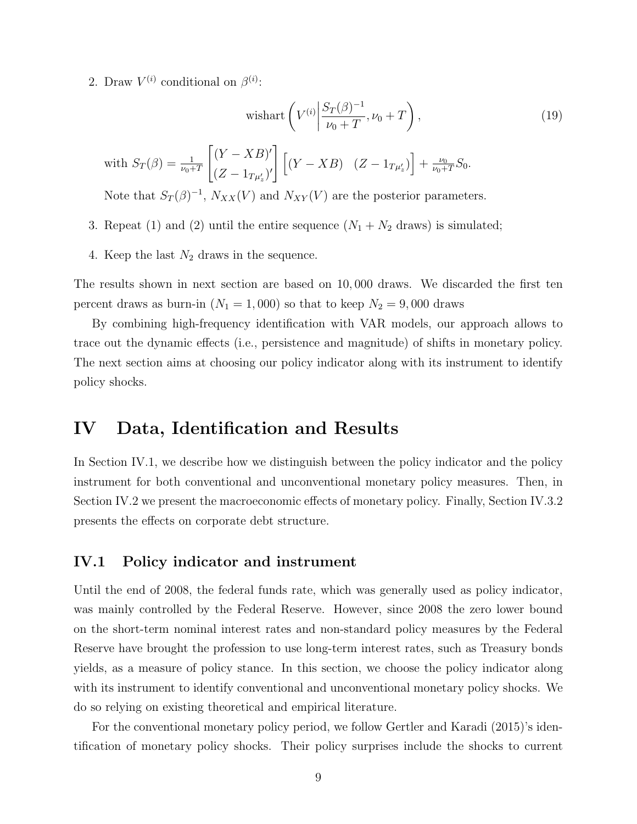2. Draw  $V^{(i)}$  conditional on  $\beta^{(i)}$ :

$$
\text{wishart}\left(V^{(i)}\bigg|\frac{S_T(\beta)^{-1}}{\nu_0+T},\nu_0+T\right),\tag{19}
$$

with 
$$
S_T(\beta) = \frac{1}{\nu_0 + T} \left[ \frac{(Y - XB)'}{(Z - 1_{T\mu'_z})'} \right] \left[ (Y - XB) \right] (Z - 1_{T\mu'_z}) \right] + \frac{\nu_0}{\nu_0 + T} S_0.
$$

Note that  $S_T(\beta)^{-1}$ ,  $N_{XX}(V)$  and  $N_{XY}(V)$  are the posterior parameters.

- 3. Repeat (1) and (2) until the entire sequence  $(N_1 + N_2)$  draws) is simulated;
- 4. Keep the last  $N_2$  draws in the sequence.

The results shown in next section are based on 10, 000 draws. We discarded the first ten percent draws as burn-in  $(N_1 = 1,000)$  so that to keep  $N_2 = 9,000$  draws

By combining high-frequency identification with VAR models, our approach allows to trace out the dynamic effects (i.e., persistence and magnitude) of shifts in monetary policy. The next section aims at choosing our policy indicator along with its instrument to identify policy shocks.

## <span id="page-10-0"></span>IV Data, Identification and Results

In Section [IV.1,](#page-10-1) we describe how we distinguish between the policy indicator and the policy instrument for both conventional and unconventional monetary policy measures. Then, in Section [IV.2](#page-12-0) we present the macroeconomic effects of monetary policy. Finally, Section [IV.3.2](#page-15-0) presents the effects on corporate debt structure.

#### <span id="page-10-1"></span>IV.1 Policy indicator and instrument

Until the end of 2008, the federal funds rate, which was generally used as policy indicator, was mainly controlled by the Federal Reserve. However, since 2008 the zero lower bound on the short-term nominal interest rates and non-standard policy measures by the Federal Reserve have brought the profession to use long-term interest rates, such as Treasury bonds yields, as a measure of policy stance. In this section, we choose the policy indicator along with its instrument to identify conventional and unconventional monetary policy shocks. We do so relying on existing theoretical and empirical literature.

For the conventional monetary policy period, we follow [Gertler and Karadi](#page-21-1) [\(2015\)](#page-21-1)'s identification of monetary policy shocks. Their policy surprises include the shocks to current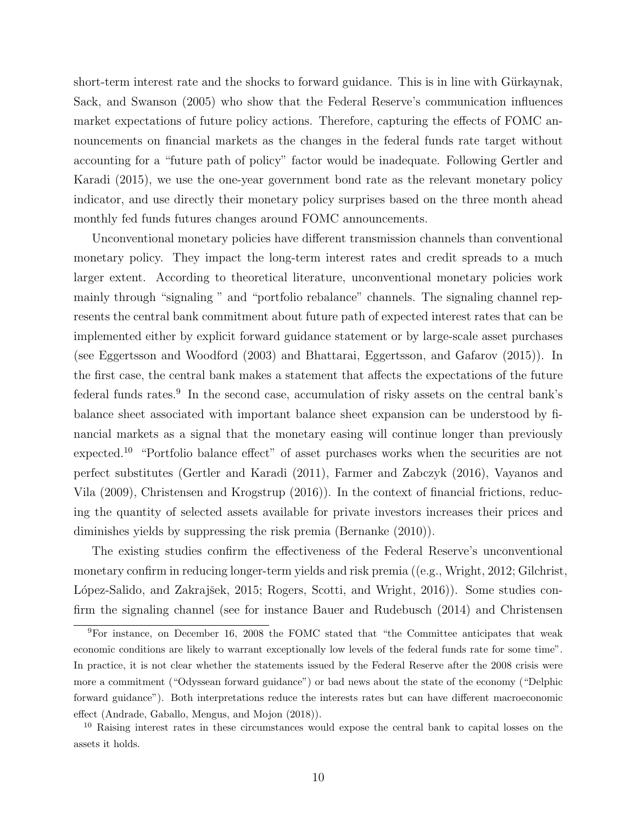short-term interest rate and the shocks to forward guidance. This is in line with Gürkaynak, [Sack, and Swanson](#page-21-6) [\(2005\)](#page-21-6) who show that the Federal Reserve's communication influences market expectations of future policy actions. Therefore, capturing the effects of FOMC announcements on financial markets as the changes in the federal funds rate target without accounting for a "future path of policy" factor would be inadequate. Following [Gertler and](#page-21-1) [Karadi](#page-21-1) [\(2015\)](#page-21-1), we use the one-year government bond rate as the relevant monetary policy indicator, and use directly their monetary policy surprises based on the three month ahead monthly fed funds futures changes around FOMC announcements.

Unconventional monetary policies have different transmission channels than conventional monetary policy. They impact the long-term interest rates and credit spreads to a much larger extent. According to theoretical literature, unconventional monetary policies work mainly through "signaling " and "portfolio rebalance" channels. The signaling channel represents the central bank commitment about future path of expected interest rates that can be implemented either by explicit forward guidance statement or by large-scale asset purchases (see [Eggertsson and Woodford](#page-20-4) [\(2003\)](#page-20-4) and [Bhattarai, Eggertsson, and Gafarov](#page-19-7) [\(2015\)](#page-19-7)). In the first case, the central bank makes a statement that affects the expectations of the future federal funds rates.<sup>[9](#page-11-0)</sup> In the second case, accumulation of risky assets on the central bank's balance sheet associated with important balance sheet expansion can be understood by financial markets as a signal that the monetary easing will continue longer than previously expected.[10](#page-11-1) "Portfolio balance effect" of asset purchases works when the securities are not perfect substitutes [\(Gertler and Karadi](#page-21-7) [\(2011\)](#page-21-7), [Farmer and Zabczyk](#page-20-5) [\(2016\)](#page-20-5), [Vayanos and](#page-23-1) [Vila](#page-23-1) [\(2009\)](#page-23-1), [Christensen and Krogstrup](#page-20-6) [\(2016\)](#page-20-6)). In the context of financial frictions, reducing the quantity of selected assets available for private investors increases their prices and diminishes yields by suppressing the risk premia [\(Bernanke](#page-19-8) [\(2010\)](#page-19-8)).

The existing studies confirm the effectiveness of the Federal Reserve's unconventional monetary confirm in reducing longer-term yields and risk premia ((e.g., [Wright,](#page-23-2) [2012;](#page-23-2) [Gilchrist,](#page-21-8) López-Salido, and Zakrajšek, [2015;](#page-21-8) [Rogers, Scotti, and Wright,](#page-22-7) [2016\)](#page-22-7). Some studies confirm the signaling channel (see for instance [Bauer and Rudebusch](#page-19-9) [\(2014\)](#page-19-9) and [Christensen](#page-20-7)

<span id="page-11-0"></span><sup>9</sup>[For instance, on December 16, 2008 the FOMC stated that "the Committee anticipates that weak](#page-20-7) [economic conditions are likely to warrant exceptionally low levels of the federal funds rate for some time".](#page-20-7) [In practice, it is not clear whether the statements issued by the Federal Reserve after the 2008 crisis were](#page-20-7) [more a commitment \("Odyssean forward guidance"\) or bad news about the state of the economy \("Delphic](#page-20-7) [forward guidance"\). Both interpretations reduce the interests rates but can have different macroeconomic](#page-20-7) [effect \(Andrade, Gaballo, Mengus, and Mojon](#page-20-7) [\(2018\)](#page-19-10)).

<span id="page-11-1"></span><sup>&</sup>lt;sup>10</sup> [Raising interest rates in these circumstances would expose the central bank to capital losses on the](#page-20-7) [assets it holds.](#page-20-7)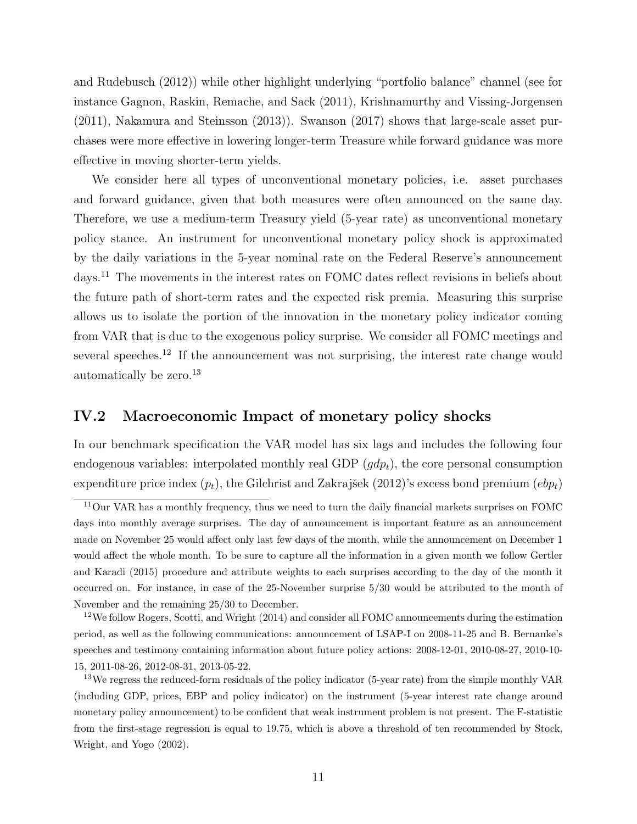[and Rudebusch](#page-20-7) [\(2012\)](#page-20-7)) while other highlight underlying "portfolio balance" channel (see for instance [Gagnon, Raskin, Remache, and Sack](#page-21-9) [\(2011\)](#page-21-9), [Krishnamurthy and Vissing-Jorgensen](#page-22-8) [\(2011\)](#page-22-8), [Nakamura and Steinsson](#page-22-9) [\(2013\)](#page-22-9)). [Swanson](#page-23-3) [\(2017\)](#page-23-3) shows that large-scale asset purchases were more effective in lowering longer-term Treasure while forward guidance was more effective in moving shorter-term yields.

We consider here all types of unconventional monetary policies, i.e. asset purchases and forward guidance, given that both measures were often announced on the same day. Therefore, we use a medium-term Treasury yield (5-year rate) as unconventional monetary policy stance. An instrument for unconventional monetary policy shock is approximated by the daily variations in the 5-year nominal rate on the Federal Reserve's announcement days.[11](#page-12-1) The movements in the interest rates on FOMC dates reflect revisions in beliefs about the future path of short-term rates and the expected risk premia. Measuring this surprise allows us to isolate the portion of the innovation in the monetary policy indicator coming from VAR that is due to the exogenous policy surprise. We consider all FOMC meetings and several speeches.<sup>[12](#page-12-2)</sup> If the announcement was not surprising, the interest rate change would automatically be zero.<sup>[13](#page-12-3)</sup>

#### <span id="page-12-0"></span>IV.2 Macroeconomic Impact of monetary policy shocks

In our benchmark specification the VAR model has six lags and includes the following four endogenous variables: interpolated monthly real GDP  $(gdp_t)$ , the core personal consumption expenditure price index  $(p_t)$ , the Gilchrist and Zakrajšek [\(2012\)](#page-21-0)'s excess bond premium  $(ebp_t)$ 

<span id="page-12-1"></span><sup>11</sup>Our VAR has a monthly frequency, thus we need to turn the daily financial markets surprises on FOMC days into monthly average surprises. The day of announcement is important feature as an announcement made on November 25 would affect only last few days of the month, while the announcement on December 1 would affect the whole month. To be sure to capture all the information in a given month we follow [Gertler](#page-21-1) [and Karadi](#page-21-1) [\(2015\)](#page-21-1) procedure and attribute weights to each surprises according to the day of the month it occurred on. For instance, in case of the 25-November surprise 5/30 would be attributed to the month of November and the remaining 25/30 to December.

<span id="page-12-2"></span> $12$ We follow [Rogers, Scotti, and Wright](#page-22-10) [\(2014\)](#page-22-10) and consider all FOMC announcements during the estimation period, as well as the following communications: announcement of LSAP-I on 2008-11-25 and B. Bernanke's speeches and testimony containing information about future policy actions: 2008-12-01, 2010-08-27, 2010-10- 15, 2011-08-26, 2012-08-31, 2013-05-22.

<span id="page-12-3"></span> $13\text{We regress the reduced-form residuals of the policy indicator (5-year rate) from the simple monthly VAR}$ (including GDP, prices, EBP and policy indicator) on the instrument (5-year interest rate change around monetary policy announcement) to be confident that weak instrument problem is not present. The F-statistic from the first-stage regression is equal to 19.75, which is above a threshold of ten recommended by [Stock,](#page-23-4) [Wright, and Yogo](#page-23-4) [\(2002\)](#page-23-4).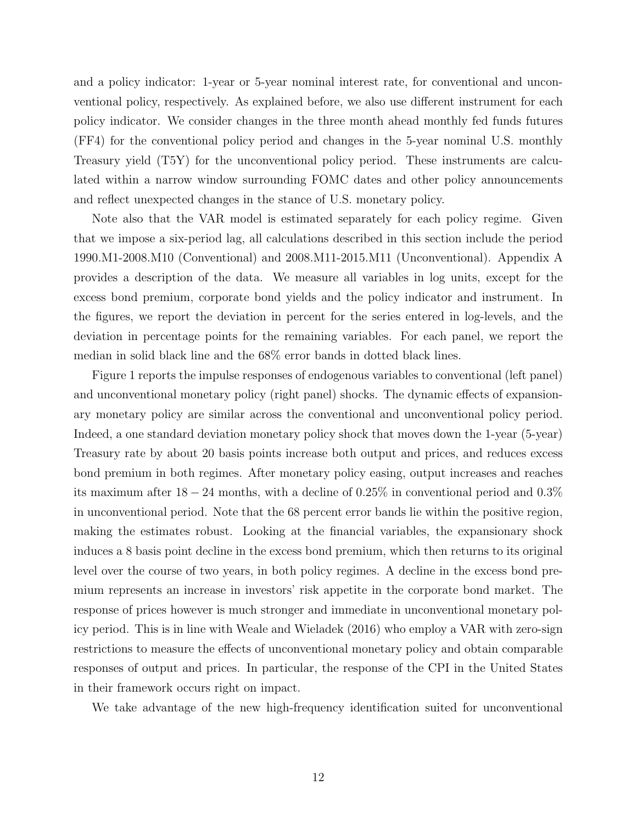and a policy indicator: 1-year or 5-year nominal interest rate, for conventional and unconventional policy, respectively. As explained before, we also use different instrument for each policy indicator. We consider changes in the three month ahead monthly fed funds futures (FF4) for the conventional policy period and changes in the 5-year nominal U.S. monthly Treasury yield (T5Y) for the unconventional policy period. These instruments are calculated within a narrow window surrounding FOMC dates and other policy announcements and reflect unexpected changes in the stance of U.S. monetary policy.

Note also that the VAR model is estimated separately for each policy regime. Given that we impose a six-period lag, all calculations described in this section include the period 1990.M1-2008.M10 (Conventional) and 2008.M11-2015.M11 (Unconventional). Appendix [A](#page-24-0) provides a description of the data. We measure all variables in log units, except for the excess bond premium, corporate bond yields and the policy indicator and instrument. In the figures, we report the deviation in percent for the series entered in log-levels, and the deviation in percentage points for the remaining variables. For each panel, we report the median in solid black line and the 68% error bands in dotted black lines.

Figure [1](#page-25-0) reports the impulse responses of endogenous variables to conventional (left panel) and unconventional monetary policy (right panel) shocks. The dynamic effects of expansionary monetary policy are similar across the conventional and unconventional policy period. Indeed, a one standard deviation monetary policy shock that moves down the 1-year (5-year) Treasury rate by about 20 basis points increase both output and prices, and reduces excess bond premium in both regimes. After monetary policy easing, output increases and reaches its maximum after  $18 - 24$  months, with a decline of 0.25% in conventional period and 0.3% in unconventional period. Note that the 68 percent error bands lie within the positive region, making the estimates robust. Looking at the financial variables, the expansionary shock induces a 8 basis point decline in the excess bond premium, which then returns to its original level over the course of two years, in both policy regimes. A decline in the excess bond premium represents an increase in investors' risk appetite in the corporate bond market. The response of prices however is much stronger and immediate in unconventional monetary policy period. This is in line with [Weale and Wieladek](#page-23-0) [\(2016\)](#page-23-0) who employ a VAR with zero-sign restrictions to measure the effects of unconventional monetary policy and obtain comparable responses of output and prices. In particular, the response of the CPI in the United States in their framework occurs right on impact.

We take advantage of the new high-frequency identification suited for unconventional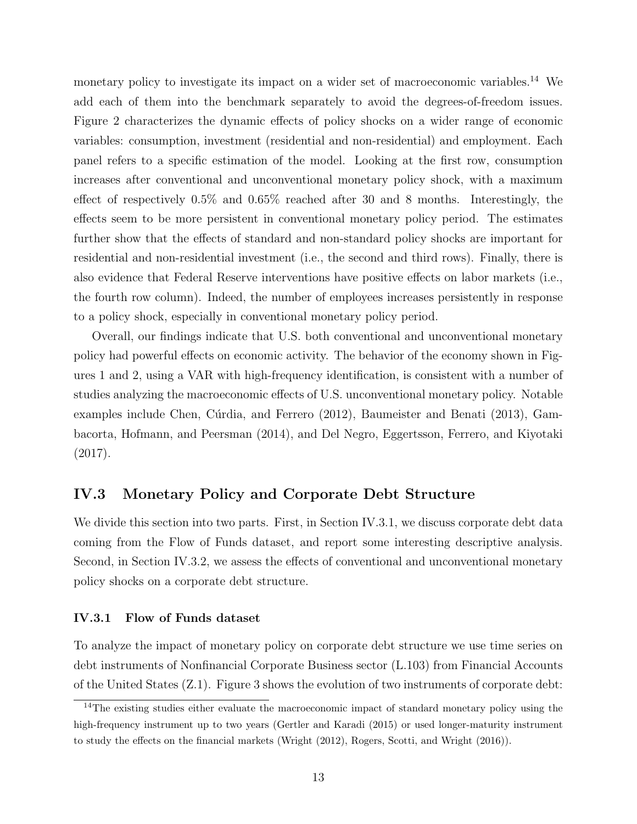monetary policy to investigate its impact on a wider set of macroeconomic variables.<sup>[14](#page-14-0)</sup> We add each of them into the benchmark separately to avoid the degrees-of-freedom issues. Figure [2](#page-26-0) characterizes the dynamic effects of policy shocks on a wider range of economic variables: consumption, investment (residential and non-residential) and employment. Each panel refers to a specific estimation of the model. Looking at the first row, consumption increases after conventional and unconventional monetary policy shock, with a maximum effect of respectively 0.5% and 0.65% reached after 30 and 8 months. Interestingly, the effects seem to be more persistent in conventional monetary policy period. The estimates further show that the effects of standard and non-standard policy shocks are important for residential and non-residential investment (i.e., the second and third rows). Finally, there is also evidence that Federal Reserve interventions have positive effects on labor markets (i.e., the fourth row column). Indeed, the number of employees increases persistently in response to a policy shock, especially in conventional monetary policy period.

Overall, our findings indicate that U.S. both conventional and unconventional monetary policy had powerful effects on economic activity. The behavior of the economy shown in Figures [1](#page-25-0) and [2,](#page-26-0) using a VAR with high-frequency identification, is consistent with a number of studies analyzing the macroeconomic effects of U.S. unconventional monetary policy. Notable examples include Chen, Cúrdia, and Ferrero [\(2012\)](#page-20-8), [Baumeister and Benati](#page-19-2) [\(2013\)](#page-19-2), [Gam](#page-21-2)[bacorta, Hofmann, and Peersman](#page-21-2) [\(2014\)](#page-21-2), and [Del Negro, Eggertsson, Ferrero, and Kiyotaki](#page-20-9) [\(2017\)](#page-20-9).

#### IV.3 Monetary Policy and Corporate Debt Structure

We divide this section into two parts. First, in Section [IV.3.1,](#page-14-1) we discuss corporate debt data coming from the Flow of Funds dataset, and report some interesting descriptive analysis. Second, in Section [IV.3.2,](#page-15-0) we assess the effects of conventional and unconventional monetary policy shocks on a corporate debt structure.

#### <span id="page-14-1"></span>IV.3.1 Flow of Funds dataset

To analyze the impact of monetary policy on corporate debt structure we use time series on debt instruments of Nonfinancial Corporate Business sector (L.103) from Financial Accounts of the United States (Z.1). Figure [3](#page-27-0) shows the evolution of two instruments of corporate debt:

<span id="page-14-0"></span><sup>&</sup>lt;sup>14</sup>The existing studies either evaluate the macroeconomic impact of standard monetary policy using the high-frequency instrument up to two years [\(Gertler and Karadi](#page-21-1) [\(2015\)](#page-21-1) or used longer-maturity instrument to study the effects on the financial markets [\(Wright](#page-23-2) [\(2012\)](#page-23-2), [Rogers, Scotti, and Wright](#page-22-7) [\(2016\)](#page-22-7)).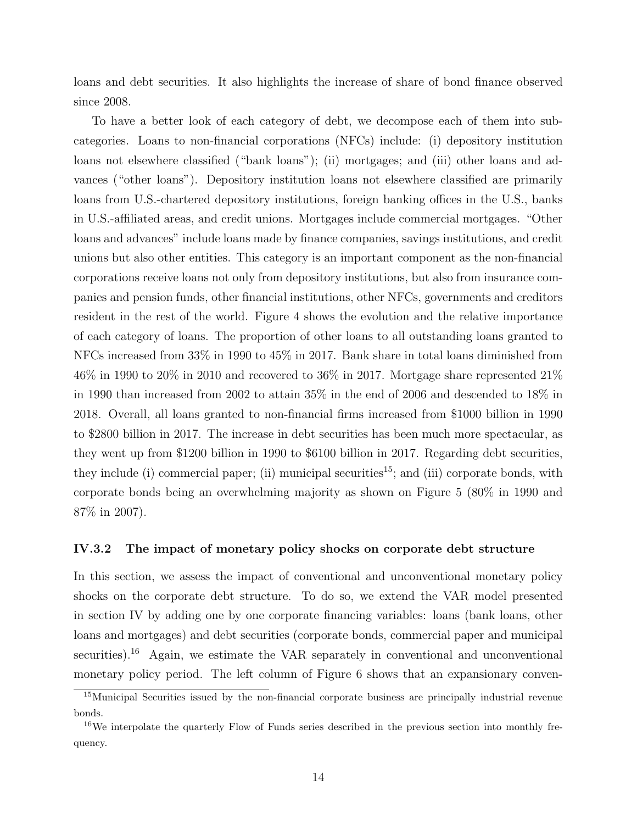loans and debt securities. It also highlights the increase of share of bond finance observed since 2008.

To have a better look of each category of debt, we decompose each of them into subcategories. Loans to non-financial corporations (NFCs) include: (i) depository institution loans not elsewhere classified ("bank loans"); (ii) mortgages; and (iii) other loans and advances ("other loans"). Depository institution loans not elsewhere classified are primarily loans from U.S.-chartered depository institutions, foreign banking offices in the U.S., banks in U.S.-affiliated areas, and credit unions. Mortgages include commercial mortgages. "Other loans and advances" include loans made by finance companies, savings institutions, and credit unions but also other entities. This category is an important component as the non-financial corporations receive loans not only from depository institutions, but also from insurance companies and pension funds, other financial institutions, other NFCs, governments and creditors resident in the rest of the world. Figure [4](#page-28-0) shows the evolution and the relative importance of each category of loans. The proportion of other loans to all outstanding loans granted to NFCs increased from 33% in 1990 to 45% in 2017. Bank share in total loans diminished from 46% in 1990 to 20% in 2010 and recovered to 36% in 2017. Mortgage share represented 21% in 1990 than increased from 2002 to attain 35% in the end of 2006 and descended to 18% in 2018. Overall, all loans granted to non-financial firms increased from \$1000 billion in 1990 to \$2800 billion in 2017. The increase in debt securities has been much more spectacular, as they went up from \$1200 billion in 1990 to \$6100 billion in 2017. Regarding debt securities, they include (i) commercial paper; (ii) municipal securities<sup>[15](#page-15-1)</sup>; and (iii) corporate bonds, with corporate bonds being an overwhelming majority as shown on Figure [5](#page-29-0) (80% in 1990 and 87% in 2007).

#### <span id="page-15-0"></span>IV.3.2 The impact of monetary policy shocks on corporate debt structure

In this section, we assess the impact of conventional and unconventional monetary policy shocks on the corporate debt structure. To do so, we extend the VAR model presented in section [IV](#page-10-0) by adding one by one corporate financing variables: loans (bank loans, other loans and mortgages) and debt securities (corporate bonds, commercial paper and municipal securities).<sup>[16](#page-15-2)</sup> Again, we estimate the VAR separately in conventional and unconventional monetary policy period. The left column of Figure [6](#page-30-0) shows that an expansionary conven-

<span id="page-15-1"></span><sup>15</sup>Municipal Securities issued by the non-financial corporate business are principally industrial revenue bonds.

<span id="page-15-2"></span><sup>&</sup>lt;sup>16</sup>We interpolate the quarterly Flow of Funds series described in the previous section into monthly frequency.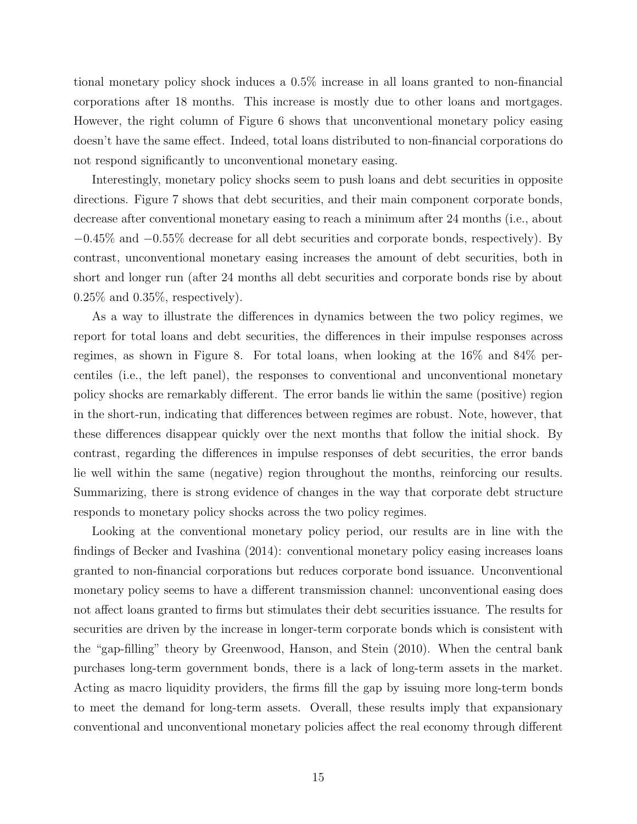tional monetary policy shock induces a 0.5% increase in all loans granted to non-financial corporations after 18 months. This increase is mostly due to other loans and mortgages. However, the right column of Figure [6](#page-30-0) shows that unconventional monetary policy easing doesn't have the same effect. Indeed, total loans distributed to non-financial corporations do not respond significantly to unconventional monetary easing.

Interestingly, monetary policy shocks seem to push loans and debt securities in opposite directions. Figure [7](#page-31-0) shows that debt securities, and their main component corporate bonds, decrease after conventional monetary easing to reach a minimum after 24 months (i.e., about −0.45% and −0.55% decrease for all debt securities and corporate bonds, respectively). By contrast, unconventional monetary easing increases the amount of debt securities, both in short and longer run (after 24 months all debt securities and corporate bonds rise by about  $0.25\%$  and  $0.35\%$ , respectively).

As a way to illustrate the differences in dynamics between the two policy regimes, we report for total loans and debt securities, the differences in their impulse responses across regimes, as shown in Figure [8.](#page-32-0) For total loans, when looking at the 16% and 84% percentiles (i.e., the left panel), the responses to conventional and unconventional monetary policy shocks are remarkably different. The error bands lie within the same (positive) region in the short-run, indicating that differences between regimes are robust. Note, however, that these differences disappear quickly over the next months that follow the initial shock. By contrast, regarding the differences in impulse responses of debt securities, the error bands lie well within the same (negative) region throughout the months, reinforcing our results. Summarizing, there is strong evidence of changes in the way that corporate debt structure responds to monetary policy shocks across the two policy regimes.

Looking at the conventional monetary policy period, our results are in line with the findings of [Becker and Ivashina](#page-19-3) [\(2014\)](#page-19-3): conventional monetary policy easing increases loans granted to non-financial corporations but reduces corporate bond issuance. Unconventional monetary policy seems to have a different transmission channel: unconventional easing does not affect loans granted to firms but stimulates their debt securities issuance. The results for securities are driven by the increase in longer-term corporate bonds which is consistent with the "gap-filling" theory by [Greenwood, Hanson, and Stein](#page-21-10) [\(2010\)](#page-21-10). When the central bank purchases long-term government bonds, there is a lack of long-term assets in the market. Acting as macro liquidity providers, the firms fill the gap by issuing more long-term bonds to meet the demand for long-term assets. Overall, these results imply that expansionary conventional and unconventional monetary policies affect the real economy through different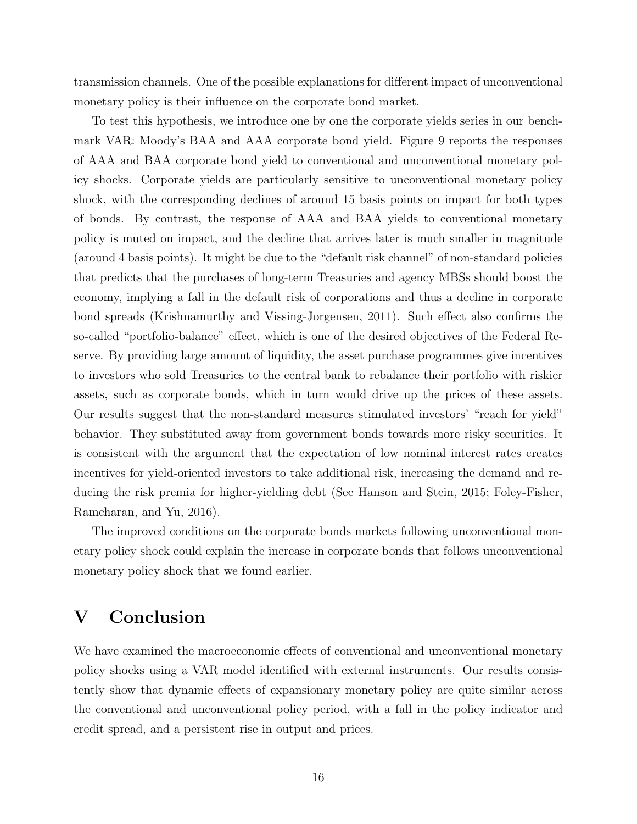transmission channels. One of the possible explanations for different impact of unconventional monetary policy is their influence on the corporate bond market.

To test this hypothesis, we introduce one by one the corporate yields series in our benchmark VAR: Moody's BAA and AAA corporate bond yield. Figure [9](#page-33-0) reports the responses of AAA and BAA corporate bond yield to conventional and unconventional monetary policy shocks. Corporate yields are particularly sensitive to unconventional monetary policy shock, with the corresponding declines of around 15 basis points on impact for both types of bonds. By contrast, the response of AAA and BAA yields to conventional monetary policy is muted on impact, and the decline that arrives later is much smaller in magnitude (around 4 basis points). It might be due to the "default risk channel" of non-standard policies that predicts that the purchases of long-term Treasuries and agency MBSs should boost the economy, implying a fall in the default risk of corporations and thus a decline in corporate bond spreads [\(Krishnamurthy and Vissing-Jorgensen,](#page-22-8) [2011\)](#page-22-8). Such effect also confirms the so-called "portfolio-balance" effect, which is one of the desired objectives of the Federal Reserve. By providing large amount of liquidity, the asset purchase programmes give incentives to investors who sold Treasuries to the central bank to rebalance their portfolio with riskier assets, such as corporate bonds, which in turn would drive up the prices of these assets. Our results suggest that the non-standard measures stimulated investors' "reach for yield" behavior. They substituted away from government bonds towards more risky securities. It is consistent with the argument that the expectation of low nominal interest rates creates incentives for yield-oriented investors to take additional risk, increasing the demand and reducing the risk premia for higher-yielding debt (See [Hanson and Stein,](#page-21-11) [2015;](#page-21-11) [Foley-Fisher,](#page-20-10) [Ramcharan, and Yu,](#page-20-10) [2016\)](#page-20-10).

The improved conditions on the corporate bonds markets following unconventional monetary policy shock could explain the increase in corporate bonds that follows unconventional monetary policy shock that we found earlier.

## <span id="page-17-0"></span>V Conclusion

We have examined the macroeconomic effects of conventional and unconventional monetary policy shocks using a VAR model identified with external instruments. Our results consistently show that dynamic effects of expansionary monetary policy are quite similar across the conventional and unconventional policy period, with a fall in the policy indicator and credit spread, and a persistent rise in output and prices.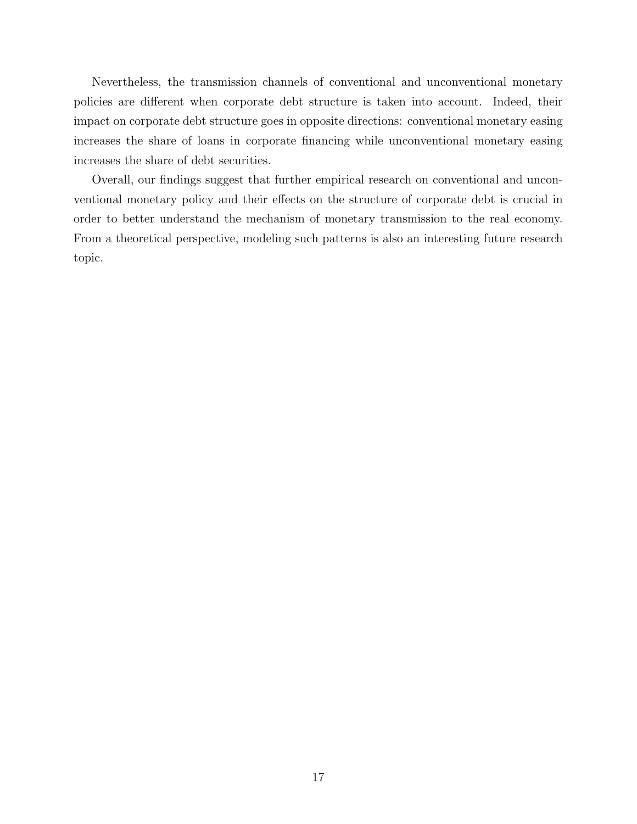Nevertheless, the transmission channels of conventional and unconventional monetary policies are different when corporate debt structure is taken into account. Indeed, their impact on corporate debt structure goes in opposite directions: conventional monetary easing increases the share of loans in corporate financing while unconventional monetary easing increases the share of debt securities.

Overall, our findings suggest that further empirical research on conventional and unconventional monetary policy and their effects on the structure of corporate debt is crucial in order to better understand the mechanism of monetary transmission to the real economy. From a theoretical perspective, modeling such patterns is also an interesting future research topic.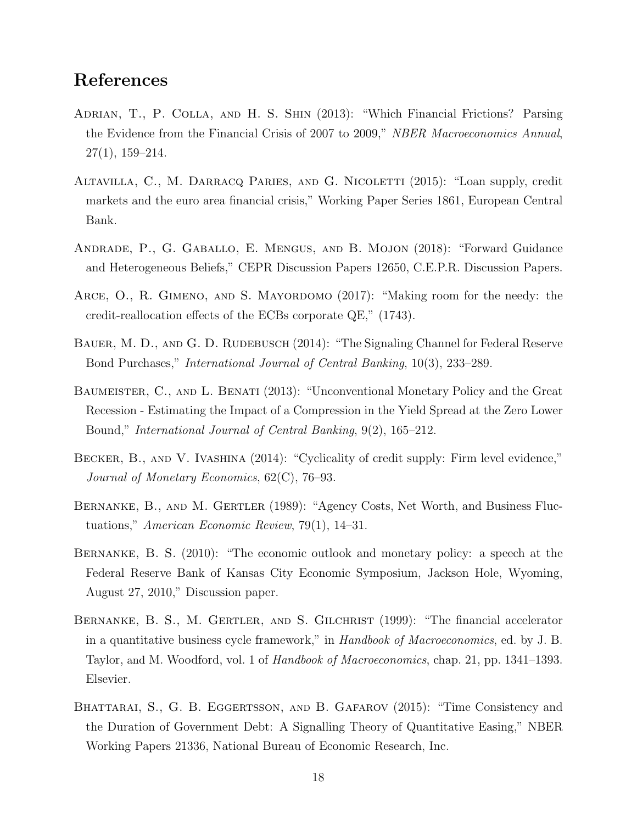## References

- <span id="page-19-6"></span>Adrian, T., P. Colla, and H. S. Shin (2013): "Which Financial Frictions? Parsing the Evidence from the Financial Crisis of 2007 to 2009," NBER Macroeconomics Annual, 27(1), 159–214.
- <span id="page-19-4"></span>Altavilla, C., M. Darracq Paries, and G. Nicoletti (2015): "Loan supply, credit markets and the euro area financial crisis," Working Paper Series 1861, European Central Bank.
- <span id="page-19-10"></span>Andrade, P., G. Gaballo, E. Mengus, and B. Mojon (2018): "Forward Guidance and Heterogeneous Beliefs," CEPR Discussion Papers 12650, C.E.P.R. Discussion Papers.
- <span id="page-19-5"></span>Arce, O., R. Gimeno, and S. Mayordomo (2017): "Making room for the needy: the credit-reallocation effects of the ECBs corporate QE," (1743).
- <span id="page-19-9"></span>BAUER, M. D., AND G. D. RUDEBUSCH (2014): "The Signaling Channel for Federal Reserve Bond Purchases," International Journal of Central Banking, 10(3), 233–289.
- <span id="page-19-2"></span>Baumeister, C., and L. Benati (2013): "Unconventional Monetary Policy and the Great Recession - Estimating the Impact of a Compression in the Yield Spread at the Zero Lower Bound," International Journal of Central Banking, 9(2), 165–212.
- <span id="page-19-3"></span>Becker, B., and V. Ivashina (2014): "Cyclicality of credit supply: Firm level evidence," Journal of Monetary Economics, 62(C), 76–93.
- <span id="page-19-0"></span>Bernanke, B., and M. Gertler (1989): "Agency Costs, Net Worth, and Business Fluctuations," American Economic Review, 79(1), 14–31.
- <span id="page-19-8"></span>Bernanke, B. S. (2010): "The economic outlook and monetary policy: a speech at the Federal Reserve Bank of Kansas City Economic Symposium, Jackson Hole, Wyoming, August 27, 2010," Discussion paper.
- <span id="page-19-1"></span>BERNANKE, B. S., M. GERTLER, AND S. GILCHRIST (1999): "The financial accelerator in a quantitative business cycle framework," in Handbook of Macroeconomics, ed. by J. B. Taylor, and M. Woodford, vol. 1 of Handbook of Macroeconomics, chap. 21, pp. 1341–1393. Elsevier.
- <span id="page-19-7"></span>BHATTARAI, S., G. B. EGGERTSSON, AND B. GAFAROV (2015): "Time Consistency and the Duration of Government Debt: A Signalling Theory of Quantitative Easing," NBER Working Papers 21336, National Bureau of Economic Research, Inc.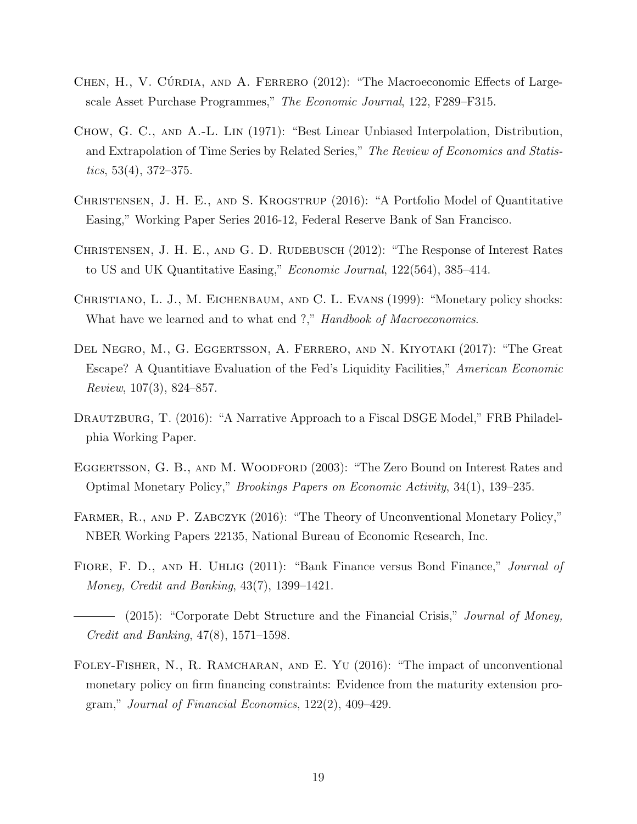- <span id="page-20-8"></span>CHEN, H., V. CÚRDIA, AND A. FERRERO (2012): "The Macroeconomic Effects of Largescale Asset Purchase Programmes," The Economic Journal, 122, F289–F315.
- <span id="page-20-11"></span>Chow, G. C., and A.-L. Lin (1971): "Best Linear Unbiased Interpolation, Distribution, and Extrapolation of Time Series by Related Series," The Review of Economics and Statistics,  $53(4)$ ,  $372-375$ .
- <span id="page-20-6"></span>CHRISTENSEN, J. H. E., AND S. KROGSTRUP (2016): "A Portfolio Model of Quantitative Easing," Working Paper Series 2016-12, Federal Reserve Bank of San Francisco.
- <span id="page-20-7"></span>CHRISTENSEN, J. H. E., AND G. D. RUDEBUSCH (2012): "The Response of Interest Rates to US and UK Quantitative Easing," Economic Journal, 122(564), 385–414.
- <span id="page-20-0"></span>Christiano, L. J., M. Eichenbaum, and C. L. Evans (1999): "Monetary policy shocks: What have we learned and to what end ?," Handbook of Macroeconomics.
- <span id="page-20-9"></span>Del Negro, M., G. Eggertsson, A. Ferrero, and N. Kiyotaki (2017): "The Great Escape? A Quantitiave Evaluation of the Fed's Liquidity Facilities," American Economic Review, 107(3), 824–857.
- <span id="page-20-3"></span>DRAUTZBURG, T. (2016): "A Narrative Approach to a Fiscal DSGE Model," FRB Philadelphia Working Paper.
- <span id="page-20-4"></span>EGGERTSSON, G. B., AND M. WOODFORD (2003): "The Zero Bound on Interest Rates and Optimal Monetary Policy," Brookings Papers on Economic Activity, 34(1), 139–235.
- <span id="page-20-5"></span>FARMER, R., AND P. ZABCZYK (2016): "The Theory of Unconventional Monetary Policy," NBER Working Papers 22135, National Bureau of Economic Research, Inc.
- <span id="page-20-1"></span>FIORE, F. D., AND H. UHLIG (2011): "Bank Finance versus Bond Finance," Journal of Money, Credit and Banking, 43(7), 1399–1421.
- <span id="page-20-2"></span>- (2015): "Corporate Debt Structure and the Financial Crisis," *Journal of Money*, Credit and Banking, 47(8), 1571–1598.
- <span id="page-20-10"></span>Foley-Fisher, N., R. Ramcharan, and E. Yu (2016): "The impact of unconventional monetary policy on firm financing constraints: Evidence from the maturity extension program," Journal of Financial Economics, 122(2), 409–429.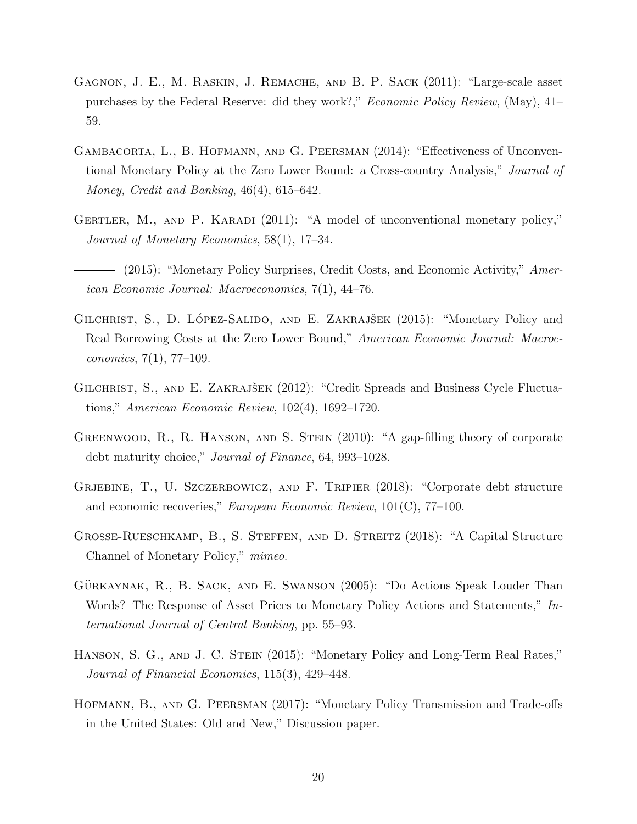- <span id="page-21-9"></span>Gagnon, J. E., M. Raskin, J. Remache, and B. P. Sack (2011): "Large-scale asset purchases by the Federal Reserve: did they work?," Economic Policy Review, (May), 41– 59.
- <span id="page-21-2"></span>Gambacorta, L., B. Hofmann, and G. Peersman (2014): "Effectiveness of Unconventional Monetary Policy at the Zero Lower Bound: a Cross-country Analysis," Journal of Money, Credit and Banking, 46(4), 615–642.
- <span id="page-21-7"></span>GERTLER, M., AND P. KARADI (2011): "A model of unconventional monetary policy," Journal of Monetary Economics, 58(1), 17–34.
- <span id="page-21-1"></span>- (2015): "Monetary Policy Surprises, Credit Costs, and Economic Activity," American Economic Journal: Macroeconomics, 7(1), 44–76.
- <span id="page-21-8"></span>GILCHRIST, S., D. LÓPEZ-SALIDO, AND E. ZAKRAJŠEK (2015): "Monetary Policy and Real Borrowing Costs at the Zero Lower Bound," American Economic Journal: Macroeconomics, 7(1), 77–109.
- <span id="page-21-0"></span>GILCHRIST, S., AND E. ZAKRAJŠEK (2012): "Credit Spreads and Business Cycle Fluctuations," American Economic Review, 102(4), 1692–1720.
- <span id="page-21-10"></span>GREENWOOD, R., R. HANSON, AND S. STEIN (2010): "A gap-filling theory of corporate debt maturity choice," Journal of Finance, 64, 993–1028.
- <span id="page-21-5"></span>GRJEBINE, T., U. SZCZERBOWICZ, AND F. TRIPIER (2018): "Corporate debt structure and economic recoveries," European Economic Review, 101(C), 77–100.
- <span id="page-21-4"></span>Grosse-Rueschkamp, B., S. Steffen, and D. Streitz (2018): "A Capital Structure Channel of Monetary Policy," mimeo.
- <span id="page-21-6"></span>GÜRKAYNAK, R., B. SACK, AND E. SWANSON (2005): "Do Actions Speak Louder Than Words? The Response of Asset Prices to Monetary Policy Actions and Statements," International Journal of Central Banking, pp. 55–93.
- <span id="page-21-11"></span>HANSON, S. G., AND J. C. STEIN (2015): "Monetary Policy and Long-Term Real Rates," Journal of Financial Economics, 115(3), 429–448.
- <span id="page-21-3"></span>Hofmann, B., and G. Peersman (2017): "Monetary Policy Transmission and Trade-offs in the United States: Old and New," Discussion paper.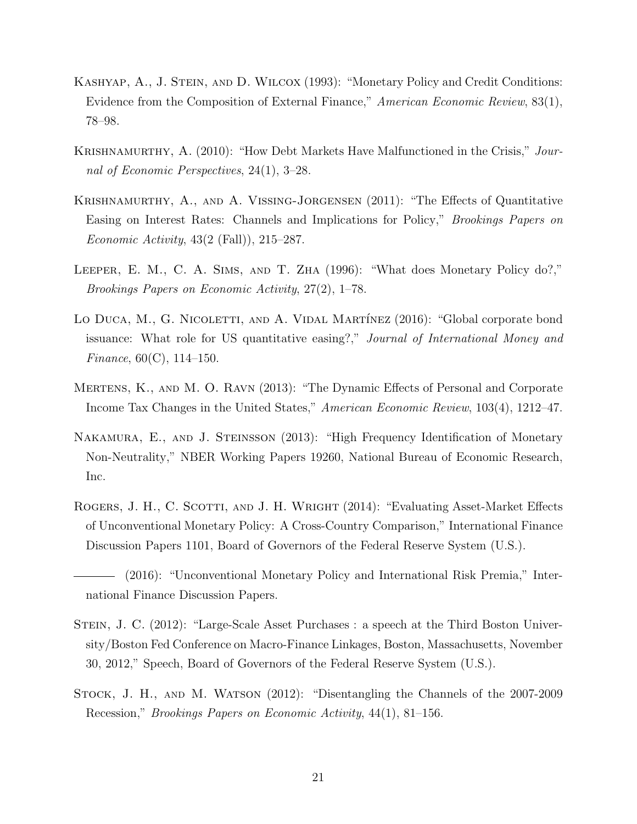- <span id="page-22-3"></span>Kashyap, A., J. Stein, and D. Wilcox (1993): "Monetary Policy and Credit Conditions: Evidence from the Composition of External Finance," American Economic Review, 83(1), 78–98.
- <span id="page-22-6"></span>KRISHNAMURTHY, A. (2010): "How Debt Markets Have Malfunctioned in the Crisis," Journal of Economic Perspectives, 24(1), 3–28.
- <span id="page-22-8"></span>Krishnamurthy, A., and A. Vissing-Jorgensen (2011): "The Effects of Quantitative Easing on Interest Rates: Channels and Implications for Policy," Brookings Papers on Economic Activity, 43(2 (Fall)), 215–287.
- <span id="page-22-2"></span>Leeper, E. M., C. A. Sims, and T. Zha (1996): "What does Monetary Policy do?," Brookings Papers on Economic Activity, 27(2), 1–78.
- <span id="page-22-4"></span>LO DUCA, M., G. NICOLETTI, AND A. VIDAL MARTÍNEZ (2016): "Global corporate bond issuance: What role for US quantitative easing?," Journal of International Money and *Finance*,  $60(C)$ , 114–150.
- <span id="page-22-1"></span>Mertens, K., and M. O. Ravn (2013): "The Dynamic Effects of Personal and Corporate Income Tax Changes in the United States," American Economic Review, 103(4), 1212–47.
- <span id="page-22-9"></span>Nakamura, E., and J. Steinsson (2013): "High Frequency Identification of Monetary Non-Neutrality," NBER Working Papers 19260, National Bureau of Economic Research, Inc.
- <span id="page-22-10"></span>ROGERS, J. H., C. SCOTTI, AND J. H. WRIGHT (2014): "Evaluating Asset-Market Effects of Unconventional Monetary Policy: A Cross-Country Comparison," International Finance Discussion Papers 1101, Board of Governors of the Federal Reserve System (U.S.).

- <span id="page-22-5"></span>Stein, J. C. (2012): "Large-Scale Asset Purchases : a speech at the Third Boston University/Boston Fed Conference on Macro-Finance Linkages, Boston, Massachusetts, November 30, 2012," Speech, Board of Governors of the Federal Reserve System (U.S.).
- <span id="page-22-0"></span>Stock, J. H., and M. Watson (2012): "Disentangling the Channels of the 2007-2009 Recession," Brookings Papers on Economic Activity, 44(1), 81–156.

<span id="page-22-7"></span><sup>(2016): &</sup>quot;Unconventional Monetary Policy and International Risk Premia," International Finance Discussion Papers.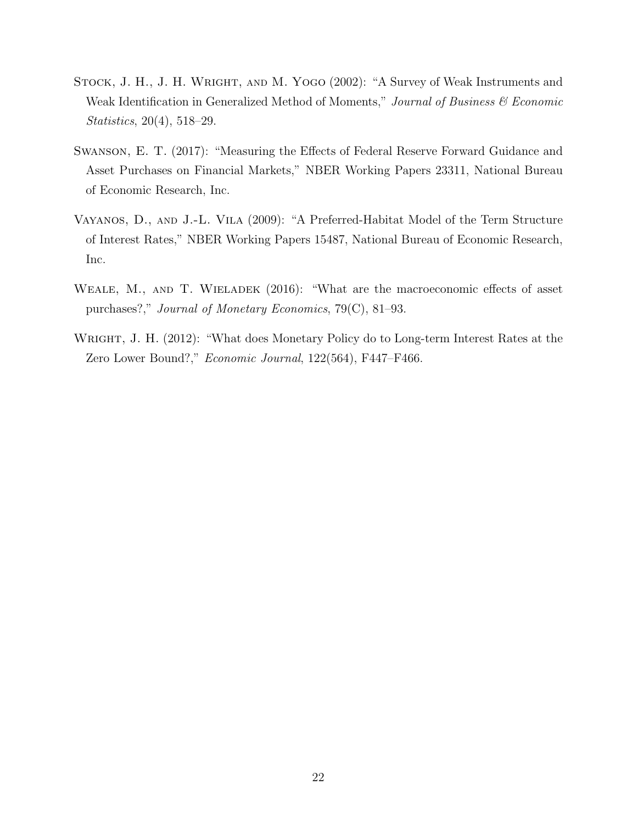- <span id="page-23-4"></span>STOCK, J. H., J. H. WRIGHT, AND M. YOGO (2002): "A Survey of Weak Instruments and Weak Identification in Generalized Method of Moments," Journal of Business & Economic Statistics, 20(4), 518–29.
- <span id="page-23-3"></span>Swanson, E. T. (2017): "Measuring the Effects of Federal Reserve Forward Guidance and Asset Purchases on Financial Markets," NBER Working Papers 23311, National Bureau of Economic Research, Inc.
- <span id="page-23-1"></span>Vayanos, D., and J.-L. Vila (2009): "A Preferred-Habitat Model of the Term Structure of Interest Rates," NBER Working Papers 15487, National Bureau of Economic Research, Inc.
- <span id="page-23-0"></span>WEALE, M., AND T. WIELADEK (2016): "What are the macroeconomic effects of asset purchases?," Journal of Monetary Economics, 79(C), 81–93.
- <span id="page-23-2"></span>WRIGHT, J. H. (2012): "What does Monetary Policy do to Long-term Interest Rates at the Zero Lower Bound?," Economic Journal, 122(564), F447–F466.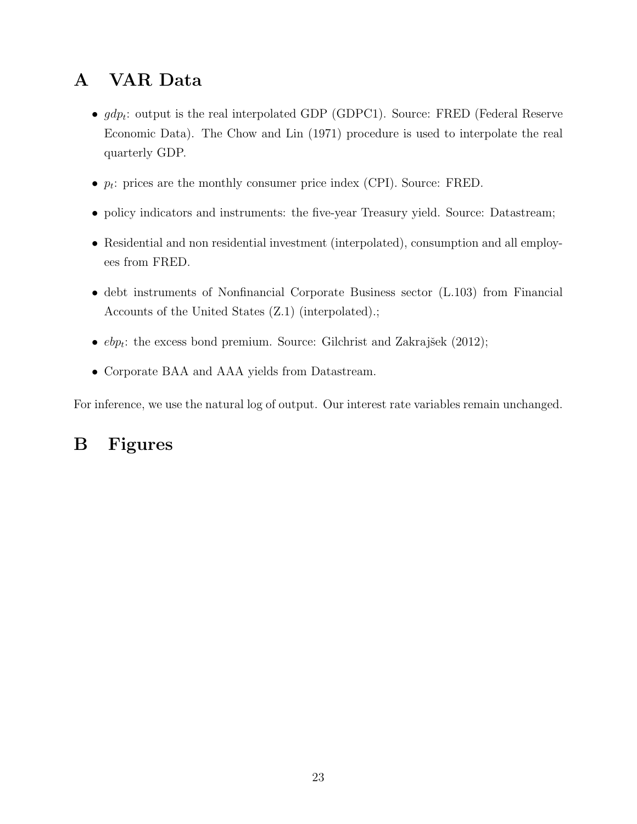# <span id="page-24-0"></span>A VAR Data

- $gdp_t$ : output is the real interpolated GDP (GDPC1). Source: FRED (Federal Reserve Economic Data). The [Chow and Lin](#page-20-11) [\(1971\)](#page-20-11) procedure is used to interpolate the real quarterly GDP.
- $p_t$ : prices are the monthly consumer price index (CPI). Source: FRED.
- policy indicators and instruments: the five-year Treasury yield. Source: Datastream;
- Residential and non residential investment (interpolated), consumption and all employees from FRED.
- debt instruments of Nonfinancial Corporate Business sector (L.103) from Financial Accounts of the United States (Z.1) (interpolated).;
- $ebp_t$ : the excess bond premium. Source: Gilchrist and Zakrajšek [\(2012\)](#page-21-0);
- Corporate BAA and AAA yields from Datastream.

For inference, we use the natural log of output. Our interest rate variables remain unchanged.

# B Figures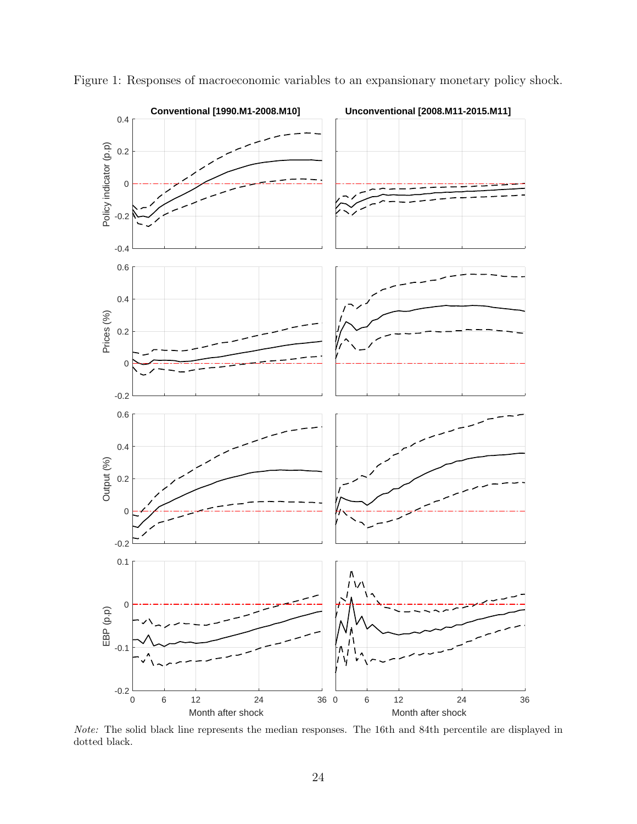

<span id="page-25-0"></span>Figure 1: Responses of macroeconomic variables to an expansionary monetary policy shock.

Note: The solid black line represents the median responses. The 16th and 84th percentile are displayed in dotted black.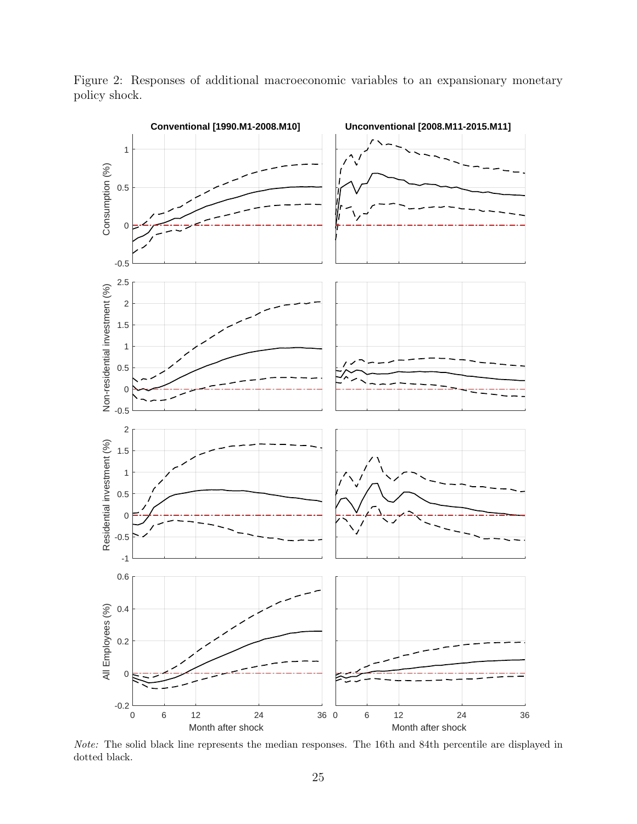

<span id="page-26-0"></span>Figure 2: Responses of additional macroeconomic variables to an expansionary monetary policy shock.

Note: The solid black line represents the median responses. The 16th and 84th percentile are displayed in dotted black.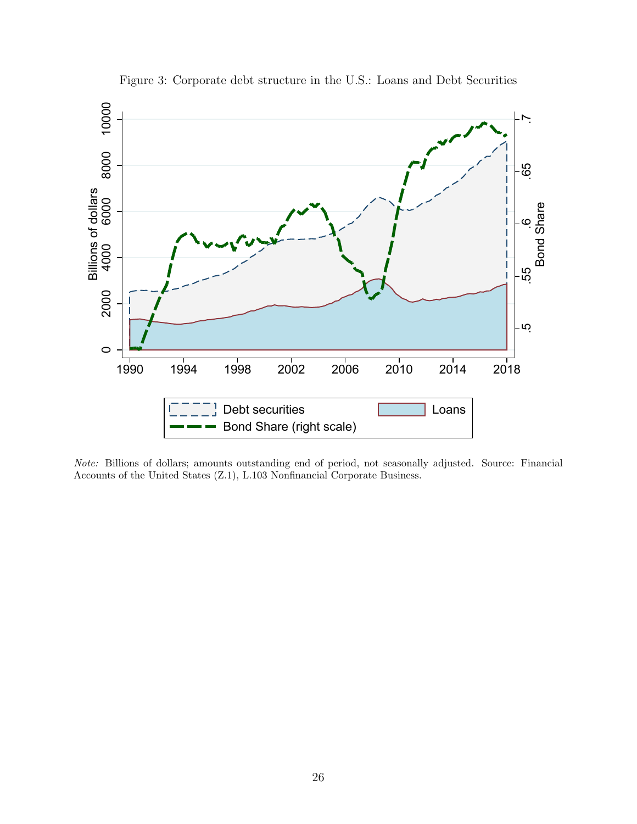<span id="page-27-0"></span>

Figure 3: Corporate debt structure in the U.S.: Loans and Debt Securities

Note: Billions of dollars; amounts outstanding end of period, not seasonally adjusted. Source: Financial Accounts of the United States (Z.1), L.103 Nonfinancial Corporate Business.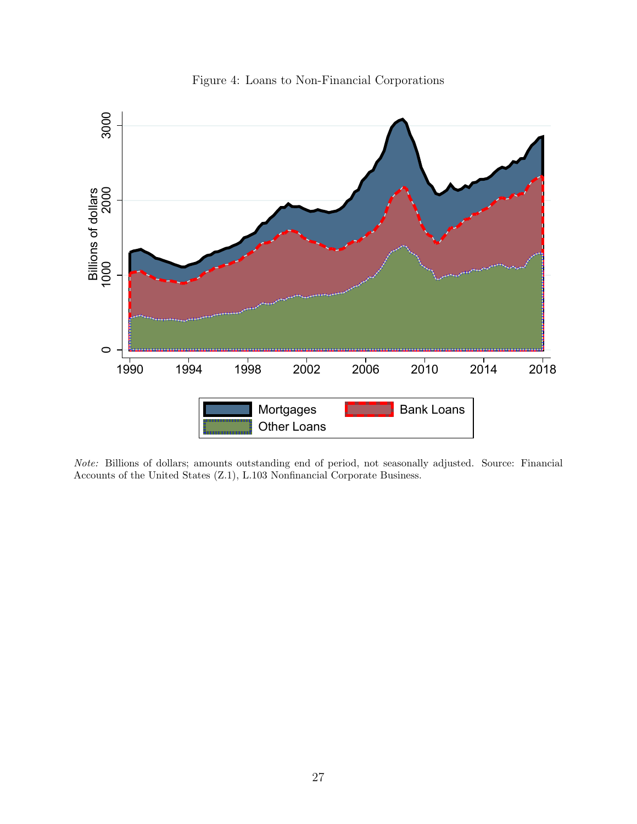

<span id="page-28-0"></span>

Note: Billions of dollars; amounts outstanding end of period, not seasonally adjusted. Source: Financial Accounts of the United States (Z.1), L.103 Nonfinancial Corporate Business.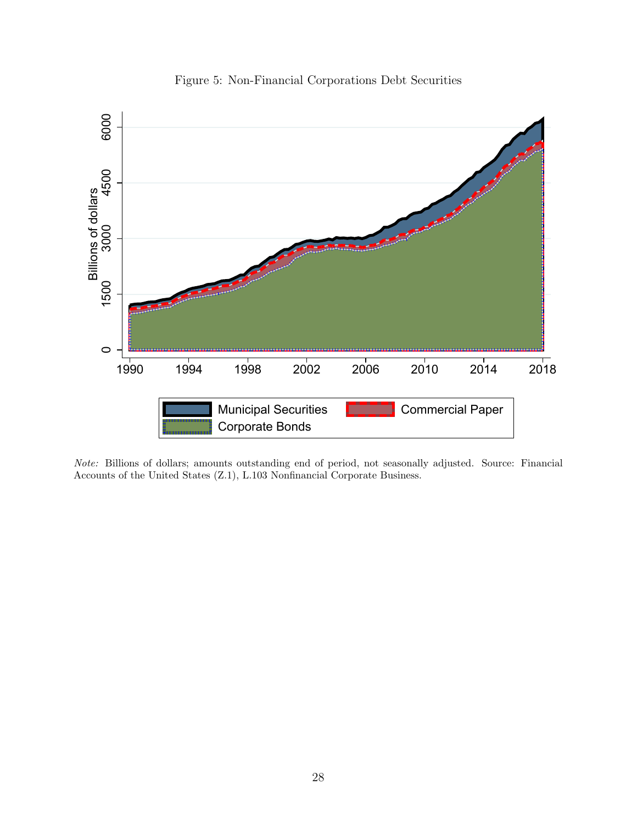

<span id="page-29-0"></span>

Note: Billions of dollars; amounts outstanding end of period, not seasonally adjusted. Source: Financial Accounts of the United States (Z.1), L.103 Nonfinancial Corporate Business.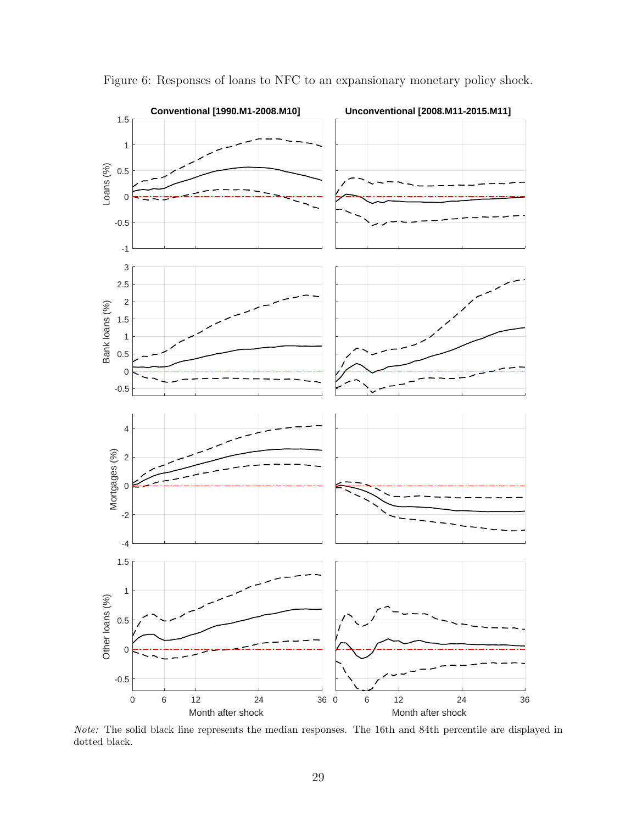

<span id="page-30-0"></span>Figure 6: Responses of loans to NFC to an expansionary monetary policy shock.

Note: The solid black line represents the median responses. The 16th and 84th percentile are displayed in dotted black.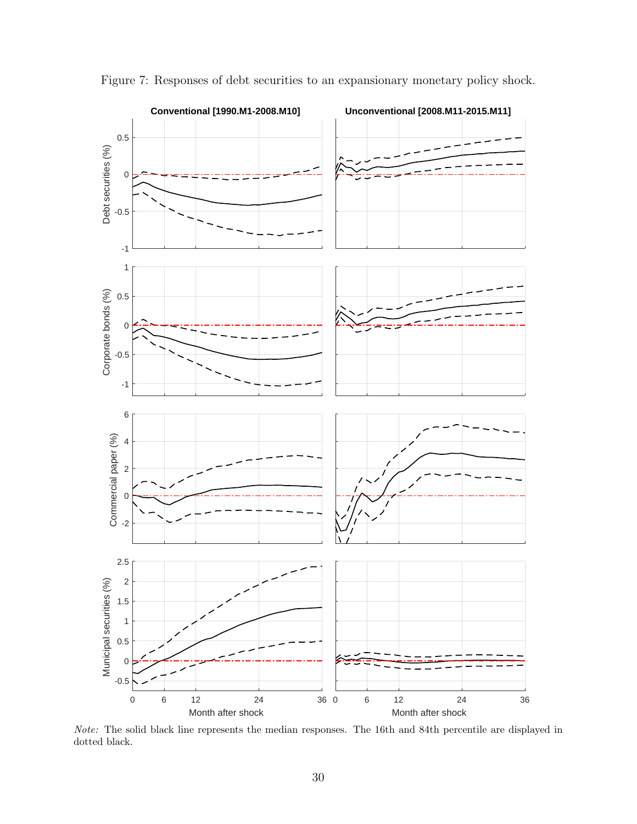

<span id="page-31-0"></span>Figure 7: Responses of debt securities to an expansionary monetary policy shock.

Note: The solid black line represents the median responses. The 16th and 84th percentile are displayed in dotted black.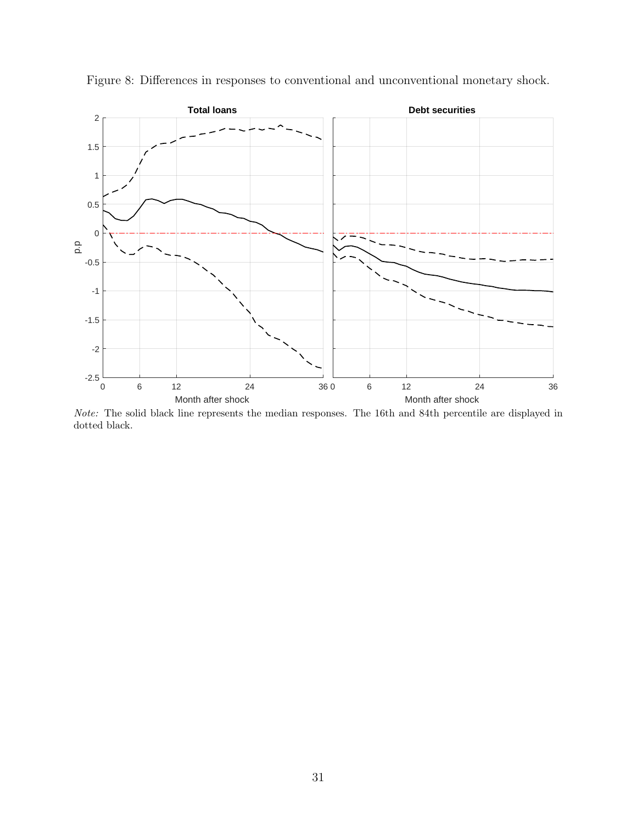

<span id="page-32-0"></span>Figure 8: Differences in responses to conventional and unconventional monetary shock.

Note: The solid black line represents the median responses. The 16th and 84th percentile are displayed in dotted black.